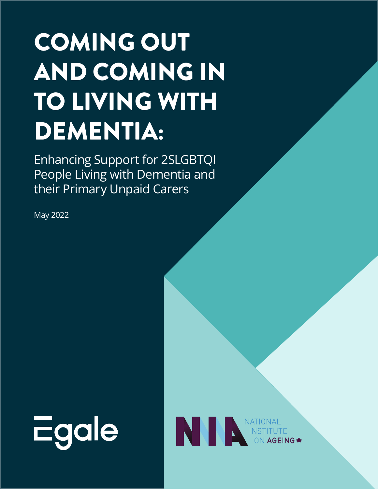# COMING OUT AND COMING IN TO LIVING WITH DEMENTIA:

Enhancing Support for 2SLGBTQI People Living with Dementia and their Primary Unpaid Carers

May 2022



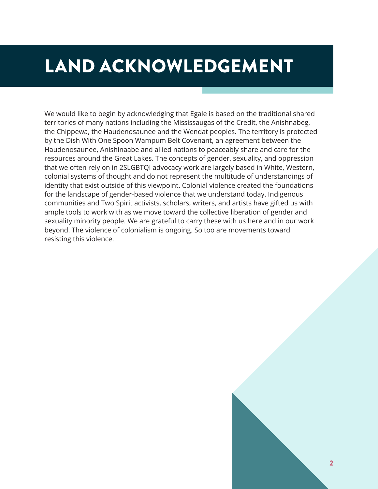# LAND ACKNOWLEDGEMENT

We would like to begin by acknowledging that Egale is based on the traditional shared territories of many nations including the Mississaugas of the Credit, the Anishnabeg, the Chippewa, the Haudenosaunee and the Wendat peoples. The territory is protected by the Dish With One Spoon Wampum Belt Covenant, an agreement between the Haudenosaunee, Anishinaabe and allied nations to peaceably share and care for the resources around the Great Lakes. The concepts of gender, sexuality, and oppression that we often rely on in 2SLGBTQI advocacy work are largely based in White, Western, colonial systems of thought and do not represent the multitude of understandings of identity that exist outside of this viewpoint. Colonial violence created the foundations for the landscape of gender-based violence that we understand today. Indigenous communities and Two Spirit activists, scholars, writers, and artists have gifted us with ample tools to work with as we move toward the collective liberation of gender and sexuality minority people. We are grateful to carry these with us here and in our work beyond. The violence of colonialism is ongoing. So too are movements toward resisting this violence.

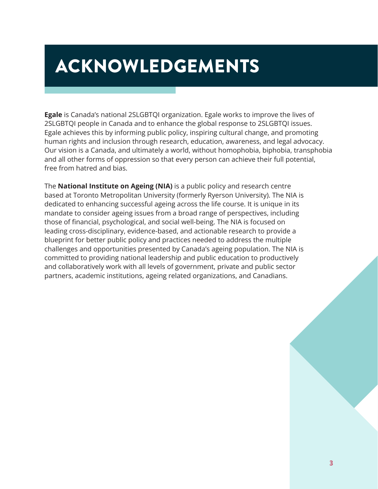# <span id="page-2-0"></span>ACKNOWLEDGEMENTS

**Egale** is Canada's national 2SLGBTQI organization. Egale works to improve the lives of 2SLGBTQI people in Canada and to enhance the global response to 2SLGBTQI issues. Egale achieves this by informing public policy, inspiring cultural change, and promoting human rights and inclusion through research, education, awareness, and legal advocacy. Our vision is a Canada, and ultimately a world, without homophobia, biphobia, transphobia and all other forms of oppression so that every person can achieve their full potential, free from hatred and bias.

The **National Institute on Ageing (NIA)** is a public policy and research centre based at Toronto Metropolitan University (formerly Ryerson University). The NIA is dedicated to enhancing successful ageing across the life course. It is unique in its mandate to consider ageing issues from a broad range of perspectives, including those of financial, psychological, and social well-being. The NIA is focused on leading cross-disciplinary, evidence-based, and actionable research to provide a blueprint for better public policy and practices needed to address the multiple challenges and opportunities presented by Canada's ageing population. The NIA is committed to providing national leadership and public education to productively and collaboratively work with all levels of government, private and public sector partners, academic institutions, ageing related organizations, and Canadians.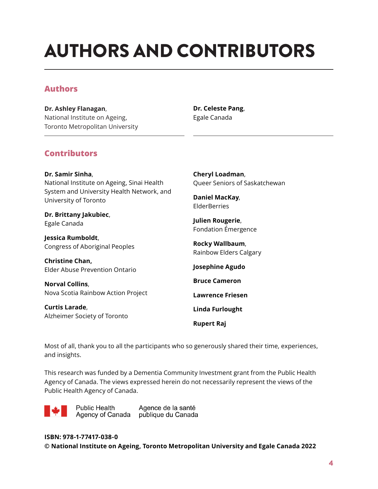# <span id="page-3-0"></span>AUTHORS AND CONTRIBUTORS

### **Authors**

**Dr. Ashley Flanagan**, National Institute on Ageing, Toronto Metropolitan University

#### **Dr. Celeste Pang**, Egale Canada

### **Contributors**

**Dr. Samir Sinha**, National Institute on Ageing, Sinai Health System and University Health Network, and University of Toronto

**Dr. Brittany Jakubiec**, Egale Canada

**Jessica Rumboldt**, Congress of Aboriginal Peoples

**Christine Chan,**  Elder Abuse Prevention Ontario

**Norval Collins**, Nova Scotia Rainbow Action Project

**Curtis Larade**, Alzheimer Society of Toronto **Cheryl Loadman**, Queer Seniors of Saskatchewan

**Daniel MacKay**, ElderBerries

**Julien Rougerie**, Fondation Émergence

**Rocky Wallbaum**, Rainbow Elders Calgary

**Josephine Agudo**

**Bruce Cameron** 

**Lawrence Friesen**

**Linda Furlought**

**Rupert Raj**

Most of all, thank you to all the participants who so generously shared their time, experiences, and insights.

This research was funded by a Dementia Community Investment grant from the Public Health Agency of Canada. The views expressed herein do not necessarily represent the views of the Public Health Agency of Canada.

**Public Health** Agence de la santé Agency of Canada publique du Canada

**ISBN: 978-1-77417-038-0 © National Institute on Ageing, Toronto Metropolitan University and Egale Canada 2022**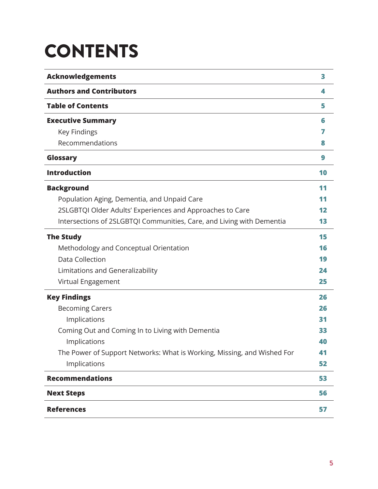# **CONTENTS**

| <b>Acknowledgements</b>                                                 | 3  |
|-------------------------------------------------------------------------|----|
| <b>Authors and Contributors</b>                                         | 4  |
| <b>Table of Contents</b>                                                | 5  |
| <b>Executive Summary</b>                                                | 6  |
| Key Findings                                                            | 7  |
| Recommendations                                                         | 8  |
| Glossary                                                                | 9  |
| <b>Introduction</b>                                                     | 10 |
| <b>Background</b>                                                       | 11 |
| Population Aging, Dementia, and Unpaid Care                             | 11 |
| 2SLGBTQI Older Adults' Experiences and Approaches to Care               | 12 |
| Intersections of 2SLGBTQI Communities, Care, and Living with Dementia   | 13 |
| <b>The Study</b>                                                        | 15 |
| Methodology and Conceptual Orientation                                  | 16 |
| <b>Data Collection</b>                                                  | 19 |
| Limitations and Generalizability                                        | 24 |
| Virtual Engagement                                                      | 25 |
| <b>Key Findings</b>                                                     | 26 |
| <b>Becoming Carers</b>                                                  | 26 |
| Implications                                                            | 31 |
| Coming Out and Coming In to Living with Dementia                        | 33 |
| Implications                                                            | 40 |
| The Power of Support Networks: What is Working, Missing, and Wished For | 41 |
| Implications                                                            | 52 |
| <b>Recommendations</b>                                                  | 53 |
| <b>Next Steps</b>                                                       | 56 |
| <b>References</b>                                                       | 57 |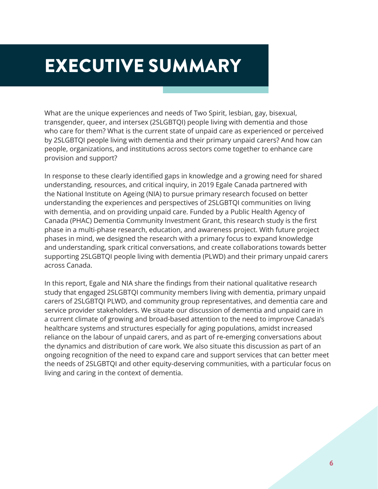# <span id="page-5-0"></span>EXECUTIVE SUMMARY

What are the unique experiences and needs of Two Spirit, lesbian, gay, bisexual, transgender, queer, and intersex (2SLGBTQI) people living with dementia and those who care for them? What is the current state of unpaid care as experienced or perceived by 2SLGBTQI people living with dementia and their primary unpaid carers? And how can people, organizations, and institutions across sectors come together to enhance care provision and support?

In response to these clearly identified gaps in knowledge and a growing need for shared understanding, resources, and critical inquiry, in 2019 Egale Canada partnered with the National Institute on Ageing (NIA) to pursue primary research focused on better understanding the experiences and perspectives of 2SLGBTQI communities on living with dementia, and on providing unpaid care. Funded by a Public Health Agency of Canada (PHAC) Dementia Community Investment Grant, this research study is the first phase in a multi-phase research, education, and awareness project. With future project phases in mind, we designed the research with a primary focus to expand knowledge and understanding, spark critical conversations, and create collaborations towards better supporting 2SLGBTQI people living with dementia (PLWD) and their primary unpaid carers across Canada.

In this report, Egale and NIA share the findings from their national qualitative research study that engaged 2SLGBTQI community members living with dementia, primary unpaid carers of 2SLGBTQI PLWD, and community group representatives, and dementia care and service provider stakeholders. We situate our discussion of dementia and unpaid care in a current climate of growing and broad-based attention to the need to improve Canada's healthcare systems and structures especially for aging populations, amidst increased reliance on the labour of unpaid carers, and as part of re-emerging conversations about the dynamics and distribution of care work. We also situate this discussion as part of an ongoing recognition of the need to expand care and support services that can better meet the needs of 2SLGBTQI and other equity-deserving communities, with a particular focus on living and caring in the context of dementia.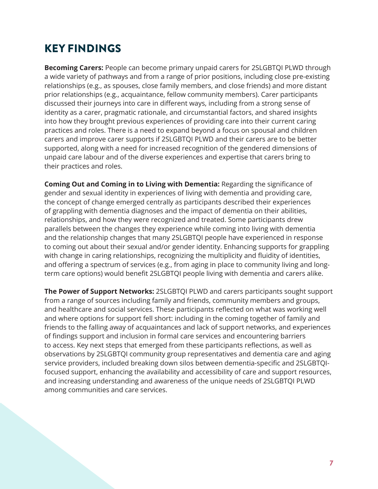# <span id="page-6-0"></span>KEY FINDINGS

**Becoming Carers:** People can become primary unpaid carers for 2SLGBTQI PLWD through a wide variety of pathways and from a range of prior positions, including close pre-existing relationships (e.g., as spouses, close family members, and close friends) and more distant prior relationships (e.g., acquaintance, fellow community members). Carer participants discussed their journeys into care in different ways, including from a strong sense of identity as a carer, pragmatic rationale, and circumstantial factors, and shared insights into how they brought previous experiences of providing care into their current caring practices and roles. There is a need to expand beyond a focus on spousal and children carers and improve carer supports if 2SLGBTQI PLWD and their carers are to be better supported, along with a need for increased recognition of the gendered dimensions of unpaid care labour and of the diverse experiences and expertise that carers bring to their practices and roles.

**Coming Out and Coming in to Living with Dementia:** Regarding the significance of gender and sexual identity in experiences of living with dementia and providing care, the concept of change emerged centrally as participants described their experiences of grappling with dementia diagnoses and the impact of dementia on their abilities, relationships, and how they were recognized and treated. Some participants drew parallels between the changes they experience while coming into living with dementia and the relationship changes that many 2SLGBTQI people have experienced in response to coming out about their sexual and/or gender identity. Enhancing supports for grappling with change in caring relationships, recognizing the multiplicity and fluidity of identities, and offering a spectrum of services (e.g., from aging in place to community living and longterm care options) would benefit 2SLGBTQI people living with dementia and carers alike.

**The Power of Support Networks:** 2SLGBTQI PLWD and carers participants sought support from a range of sources including family and friends, community members and groups, and healthcare and social services. These participants reflected on what was working well and where options for support fell short: including in the coming together of family and friends to the falling away of acquaintances and lack of support networks, and experiences of findings support and inclusion in formal care services and encountering barriers to access. Key next steps that emerged from these participants reflections, as well as observations by 2SLGBTQI community group representatives and dementia care and aging service providers, included breaking down silos between dementia-specific and 2SLGBTQIfocused support, enhancing the availability and accessibility of care and support resources, and increasing understanding and awareness of the unique needs of 2SLGBTQI PLWD among communities and care services.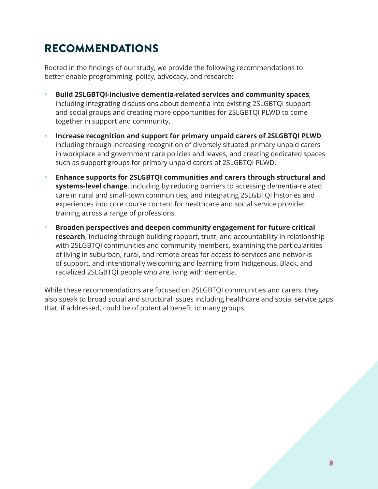# <span id="page-7-0"></span>RECOMMENDATIONS

Rooted in the findings of our study, we provide the following recommendations to better enable programming, policy, advocacy, and research:

- **• Build 2SLGBTQI-inclusive dementia-related services and community spaces**, including integrating discussions about dementia into existing 2SLGBTQI support and social groups and creating more opportunities for 2SLGBTQI PLWD to come together in support and community.
- **• Increase recognition and support for primary unpaid carers of 2SLGBTQI PLWD**, including through increasing recognition of diversely situated primary unpaid carers in workplace and government care policies and leaves, and creating dedicated spaces such as support groups for primary unpaid carers of 2SLGBTQI PLWD.
- **• Enhance supports for 2SLGBTQI communities and carers through structural and systems-level change**, including by reducing barriers to accessing dementia-related care in rural and small-town communities, and integrating 2SLGBTQI histories and experiences into core course content for healthcare and social service provider training across a range of professions.
- **• Broaden perspectives and deepen community engagement for future critical research**, including through building rapport, trust, and accountability in relationship with 2SLGBTQI communities and community members, examining the particularities of living in suburban, rural, and remote areas for access to services and networks of support, and intentionally welcoming and learning from Indigenous, Black, and racialized 2SLGBTQI people who are living with dementia.

While these recommendations are focused on 2SLGBTQI communities and carers, they also speak to broad social and structural issues including healthcare and social service gaps that, if addressed, could be of potential benefit to many groups.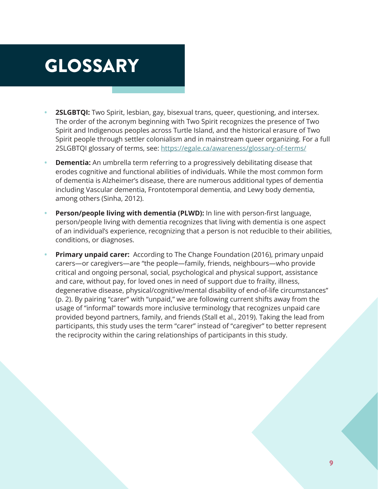# <span id="page-8-0"></span>GLOSSARY

- **• 2SLGBTQI:** Two Spirit, lesbian, gay, bisexual trans, queer, questioning, and intersex. The order of the acronym beginning with Two Spirit recognizes the presence of Two Spirit and Indigenous peoples across Turtle Island, and the historical erasure of Two Spirit people through settler colonialism and in mainstream queer organizing. For a full 2SLGBTQI glossary of terms, see: <https://egale.ca/awareness/glossary-of-terms/>
- **• Dementia:** An umbrella term referring to a progressively debilitating disease that erodes cognitive and functional abilities of individuals. While the most common form of dementia is Alzheimer's disease, there are numerous additional types of dementia including Vascular dementia, Frontotemporal dementia, and Lewy body dementia, among others (Sinha, 2012).
- **• Person/people living with dementia (PLWD):** In line with person-first language, person/people living with dementia recognizes that living with dementia is one aspect of an individual's experience, recognizing that a person is not reducible to their abilities, conditions, or diagnoses.
- **• Primary unpaid carer:** According to The Change Foundation (2016), primary unpaid carers—or caregivers—are "the people—family, friends, neighbours—who provide critical and ongoing personal, social, psychological and physical support, assistance and care, without pay, for loved ones in need of support due to frailty, illness, degenerative disease, physical/cognitive/mental disability of end-of-life circumstances" (p. 2). By pairing "carer" with "unpaid," we are following current shifts away from the usage of "informal" towards more inclusive terminology that recognizes unpaid care provided beyond partners, family, and friends (Stall et al., 2019). Taking the lead from participants, this study uses the term "carer" instead of "caregiver" to better represent the reciprocity within the caring relationships of participants in this study.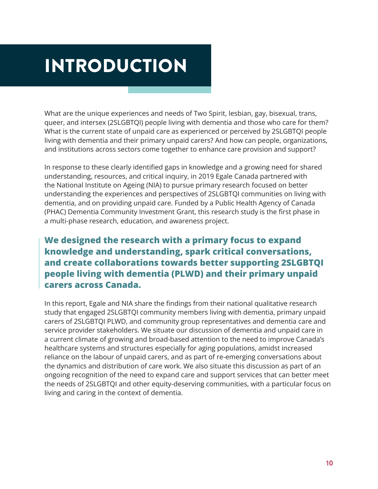# <span id="page-9-0"></span>INTRODUCTION

What are the unique experiences and needs of Two Spirit, lesbian, gay, bisexual, trans, queer, and intersex (2SLGBTQI) people living with dementia and those who care for them? What is the current state of unpaid care as experienced or perceived by 2SLGBTQI people living with dementia and their primary unpaid carers? And how can people, organizations, and institutions across sectors come together to enhance care provision and support?

In response to these clearly identified gaps in knowledge and a growing need for shared understanding, resources, and critical inquiry, in 2019 Egale Canada partnered with the National Institute on Ageing (NIA) to pursue primary research focused on better understanding the experiences and perspectives of 2SLGBTQI communities on living with dementia, and on providing unpaid care. Funded by a Public Health Agency of Canada (PHAC) Dementia Community Investment Grant, this research study is the first phase in a multi-phase research, education, and awareness project.

# **We designed the research with a primary focus to expand knowledge and understanding, spark critical conversations, and create collaborations towards better supporting 2SLGBTQI people living with dementia (PLWD) and their primary unpaid carers across Canada.**

In this report, Egale and NIA share the findings from their national qualitative research study that engaged 2SLGBTQI community members living with dementia, primary unpaid carers of 2SLGBTQI PLWD, and community group representatives and dementia care and service provider stakeholders. We situate our discussion of dementia and unpaid care in a current climate of growing and broad-based attention to the need to improve Canada's healthcare systems and structures especially for aging populations, amidst increased reliance on the labour of unpaid carers, and as part of re-emerging conversations about the dynamics and distribution of care work. We also situate this discussion as part of an ongoing recognition of the need to expand care and support services that can better meet the needs of 2SLGBTQI and other equity-deserving communities, with a particular focus on living and caring in the context of dementia.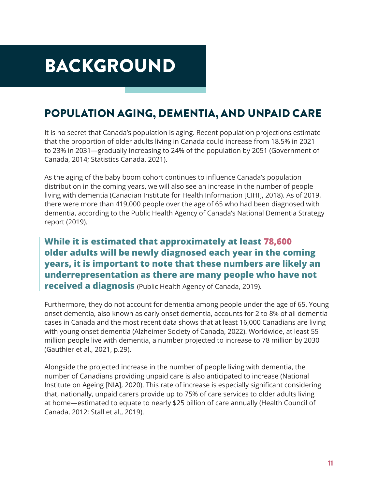# <span id="page-10-0"></span>BACKGROUND

# POPULATION AGING, DEMENTIA, AND UNPAID CARE

It is no secret that Canada's population is aging. Recent population projections estimate that the proportion of older adults living in Canada could increase from 18.5% in 2021 to 23% in 2031—gradually increasing to 24% of the population by 2051 (Government of Canada, 2014; Statistics Canada, 2021).

As the aging of the baby boom cohort continues to influence Canada's population distribution in the coming years, we will also see an increase in the number of people living with dementia (Canadian Institute for Health Information [CIHI], 2018). As of 2019, there were more than 419,000 people over the age of 65 who had been diagnosed with dementia, according to the Public Health Agency of Canada's National Dementia Strategy report (2019).

# **While it is estimated that approximately at least 78,600 older adults will be newly diagnosed each year in the coming years, it is important to note that these numbers are likely an underrepresentation as there are many people who have not received a diagnosis** (Public Health Agency of Canada, 2019).

Furthermore, they do not account for dementia among people under the age of 65. Young onset dementia, also known as early onset dementia, accounts for 2 to 8% of all dementia cases in Canada and the most recent data shows that at least 16,000 Canadians are living with young onset dementia (Alzheimer Society of Canada, 2022). Worldwide, at least 55 million people live with dementia, a number projected to increase to 78 million by 2030 (Gauthier et al., 2021, p.29).

Alongside the projected increase in the number of people living with dementia, the number of Canadians providing unpaid care is also anticipated to increase (National Institute on Ageing [NIA], 2020). This rate of increase is especially significant considering that, nationally, unpaid carers provide up to 75% of care services to older adults living at home—estimated to equate to nearly \$25 billion of care annually (Health Council of Canada, 2012; Stall et al., 2019).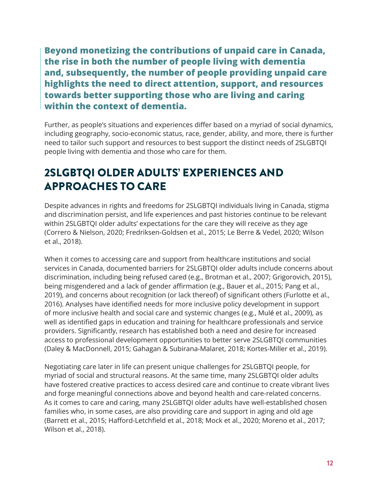<span id="page-11-0"></span>**Beyond monetizing the contributions of unpaid care in Canada, the rise in both the number of people living with dementia and, subsequently, the number of people providing unpaid care highlights the need to direct attention, support, and resources towards better supporting those who are living and caring within the context of dementia.** 

Further, as people's situations and experiences differ based on a myriad of social dynamics, including geography, socio-economic status, race, gender, ability, and more, there is further need to tailor such support and resources to best support the distinct needs of 2SLGBTQI people living with dementia and those who care for them.

# 2SLGBTQI OLDER ADULTS' EXPERIENCES AND APPROACHES TO CARE

Despite advances in rights and freedoms for 2SLGBTQI individuals living in Canada, stigma and discrimination persist, and life experiences and past histories continue to be relevant within 2SLGBTQI older adults' expectations for the care they will receive as they age (Correro & Nielson, 2020; Fredriksen-Goldsen et al., 2015; Le Berre & Vedel, 2020; Wilson et al., 2018).

When it comes to accessing care and support from healthcare institutions and social services in Canada, documented barriers for 2SLGBTQI older adults include concerns about discrimination, including being refused cared (e.g., Brotman et al., 2007; Grigorovich, 2015), being misgendered and a lack of gender affirmation (e.g., Bauer et al., 2015; Pang et al., 2019), and concerns about recognition (or lack thereof) of significant others (Furlotte et al., 2016). Analyses have identified needs for more inclusive policy development in support of more inclusive health and social care and systemic changes (e.g., Mulé et al., 2009), as well as identified gaps in education and training for healthcare professionals and service providers. Significantly, research has established both a need and desire for increased access to professional development opportunities to better serve 2SLGBTQI communities (Daley & MacDonnell, 2015; Gahagan & Subirana-Malaret, 2018; Kortes-Miller et al., 2019).

Negotiating care later in life can present unique challenges for 2SLGBTQI people, for myriad of social and structural reasons. At the same time, many 2SLGBTQI older adults have fostered creative practices to access desired care and continue to create vibrant lives and forge meaningful connections above and beyond health and care-related concerns. As it comes to care and caring, many 2SLGBTQI older adults have well-established chosen families who, in some cases, are also providing care and support in aging and old age (Barrett et al., 2015; Hafford-Letchfield et al., 2018; Mock et al., 2020; Moreno et al., 2017; Wilson et al., 2018).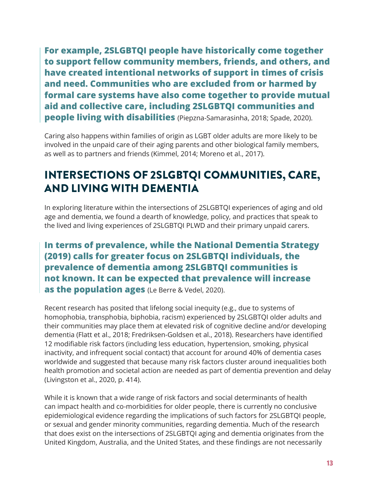<span id="page-12-0"></span>**For example, 2SLGBTQI people have historically come together to support fellow community members, friends, and others, and have created intentional networks of support in times of crisis and need. Communities who are excluded from or harmed by formal care systems have also come together to provide mutual aid and collective care, including 2SLGBTQI communities and people living with disabilities** (Piepzna-Samarasinha, 2018; Spade, 2020).

Caring also happens within families of origin as LGBT older adults are more likely to be involved in the unpaid care of their aging parents and other biological family members, as well as to partners and friends (Kimmel, 2014; Moreno et al., 2017).

# INTERSECTIONS OF 2SLGBTQI COMMUNITIES, CARE, AND LIVING WITH DEMENTIA

In exploring literature within the intersections of 2SLGBTQI experiences of aging and old age and dementia, we found a dearth of knowledge, policy, and practices that speak to the lived and living experiences of 2SLGBTQI PLWD and their primary unpaid carers.

# **In terms of prevalence, while the National Dementia Strategy (2019) calls for greater focus on 2SLGBTQI individuals, the prevalence of dementia among 2SLGBTQI communities is not known. It can be expected that prevalence will increase as the population ages** (Le Berre & Vedel, 2020).

Recent research has posited that lifelong social inequity (e.g., due to systems of homophobia, transphobia, biphobia, racism) experienced by 2SLGBTQI older adults and their communities may place them at elevated risk of cognitive decline and/or developing dementia (Flatt et al., 2018; Fredriksen-Goldsen et al., 2018). Researchers have identified 12 modifiable risk factors (including less education, hypertension, smoking, physical inactivity, and infrequent social contact) that account for around 40% of dementia cases worldwide and suggested that because many risk factors cluster around inequalities both health promotion and societal action are needed as part of dementia prevention and delay (Livingston et al., 2020, p. 414).

While it is known that a wide range of risk factors and social determinants of health can impact health and co-morbidities for older people, there is currently no conclusive epidemiological evidence regarding the implications of such factors for 2SLGBTQI people, or sexual and gender minority communities, regarding dementia. Much of the research that does exist on the intersections of 2SLGBTQI aging and dementia originates from the United Kingdom, Australia, and the United States, and these findings are not necessarily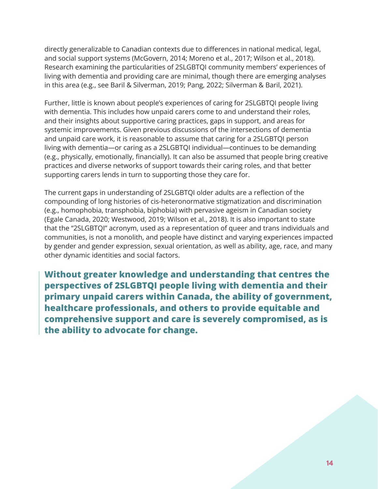directly generalizable to Canadian contexts due to differences in national medical, legal, and social support systems (McGovern, 2014; Moreno et al., 2017; Wilson et al., 2018). Research examining the particularities of 2SLGBTQI community members' experiences of living with dementia and providing care are minimal, though there are emerging analyses in this area (e.g., see Baril & Silverman, 2019; Pang, 2022; Silverman & Baril, 2021).

Further, little is known about people's experiences of caring for 2SLGBTQI people living with dementia. This includes how unpaid carers come to and understand their roles, and their insights about supportive caring practices, gaps in support, and areas for systemic improvements. Given previous discussions of the intersections of dementia and unpaid care work, it is reasonable to assume that caring for a 2SLGBTQI person living with dementia—or caring as a 2SLGBTQI individual—continues to be demanding (e.g., physically, emotionally, financially). It can also be assumed that people bring creative practices and diverse networks of support towards their caring roles, and that better supporting carers lends in turn to supporting those they care for.

The current gaps in understanding of 2SLGBTQI older adults are a reflection of the compounding of long histories of cis-heteronormative stigmatization and discrimination (e.g., homophobia, transphobia, biphobia) with pervasive ageism in Canadian society (Egale Canada, 2020; Westwood, 2019; Wilson et al., 2018). It is also important to state that the "2SLGBTQI" acronym, used as a representation of queer and trans individuals and communities, is not a monolith, and people have distinct and varying experiences impacted by gender and gender expression, sexual orientation, as well as ability, age, race, and many other dynamic identities and social factors.

**Without greater knowledge and understanding that centres the perspectives of 2SLGBTQI people living with dementia and their primary unpaid carers within Canada, the ability of government, healthcare professionals, and others to provide equitable and comprehensive support and care is severely compromised, as is the ability to advocate for change.**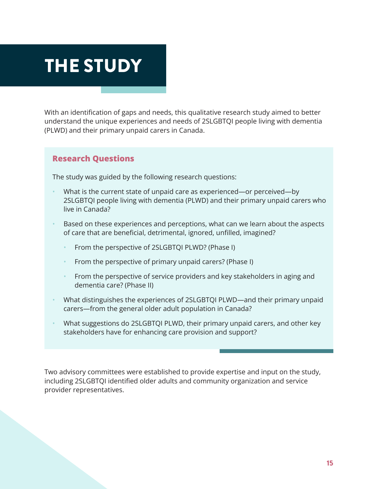# <span id="page-14-0"></span>THE STUDY

With an identification of gaps and needs, this qualitative research study aimed to better understand the unique experiences and needs of 2SLGBTQI people living with dementia (PLWD) and their primary unpaid carers in Canada.

#### **Research Questions**

The study was guided by the following research questions:

- What is the current state of unpaid care as experienced—or perceived—by 2SLGBTQI people living with dementia (PLWD) and their primary unpaid carers who live in Canada?
- Based on these experiences and perceptions, what can we learn about the aspects of care that are beneficial, detrimental, ignored, unfilled, imagined?
	- From the perspective of 2SLGBTQI PLWD? (Phase I)
	- From the perspective of primary unpaid carers? (Phase I)
	- From the perspective of service providers and key stakeholders in aging and dementia care? (Phase II)
- What distinguishes the experiences of 2SLGBTQI PLWD—and their primary unpaid carers—from the general older adult population in Canada?
- What suggestions do 2SLGBTQI PLWD, their primary unpaid carers, and other key stakeholders have for enhancing care provision and support?

Two advisory committees were established to provide expertise and input on the study, including 2SLGBTQI identified older adults and community organization and service provider representatives.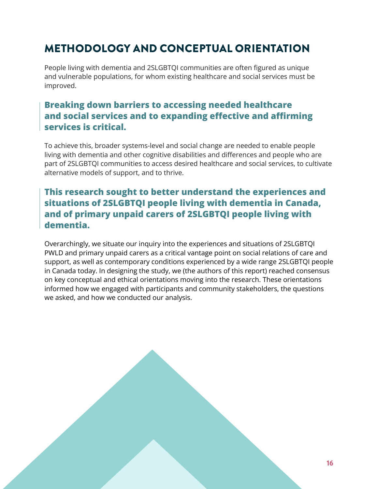# <span id="page-15-0"></span>METHODOLOGY AND CONCEPTUAL ORIENTATION

People living with dementia and 2SLGBTQI communities are often figured as unique and vulnerable populations, for whom existing healthcare and social services must be improved.

# **Breaking down barriers to accessing needed healthcare and social services and to expanding effective and affirming services is critical.**

To achieve this, broader systems-level and social change are needed to enable people living with dementia and other cognitive disabilities and differences and people who are part of 2SLGBTQI communities to access desired healthcare and social services, to cultivate alternative models of support, and to thrive.

# **This research sought to better understand the experiences and situations of 2SLGBTQI people living with dementia in Canada, and of primary unpaid carers of 2SLGBTQI people living with dementia.**

Overarchingly, we situate our inquiry into the experiences and situations of 2SLGBTQI PWLD and primary unpaid carers as a critical vantage point on social relations of care and support, as well as contemporary conditions experienced by a wide range 2SLGBTQI people in Canada today. In designing the study, we (the authors of this report) reached consensus on key conceptual and ethical orientations moving into the research. These orientations informed how we engaged with participants and community stakeholders, the questions we asked, and how we conducted our analysis.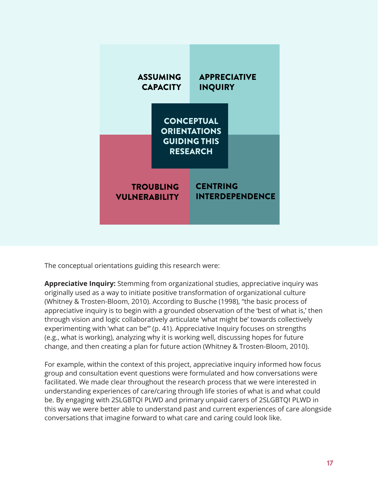

The conceptual orientations guiding this research were:

**Appreciative Inquiry:** Stemming from organizational studies, appreciative inquiry was originally used as a way to initiate positive transformation of organizational culture (Whitney & Trosten-Bloom, 2010). According to Busche (1998), "the basic process of appreciative inquiry is to begin with a grounded observation of the 'best of what is,' then through vision and logic collaboratively articulate 'what might be' towards collectively experimenting with 'what can be'" (p. 41). Appreciative Inquiry focuses on strengths (e.g., what is working), analyzing why it is working well, discussing hopes for future change, and then creating a plan for future action (Whitney & Trosten-Bloom, 2010).

For example, within the context of this project, appreciative inquiry informed how focus group and consultation event questions were formulated and how conversations were facilitated. We made clear throughout the research process that we were interested in understanding experiences of care/caring through life stories of what is and what could be. By engaging with 2SLGBTQI PLWD and primary unpaid carers of 2SLGBTQI PLWD in this way we were better able to understand past and current experiences of care alongside conversations that imagine forward to what care and caring could look like.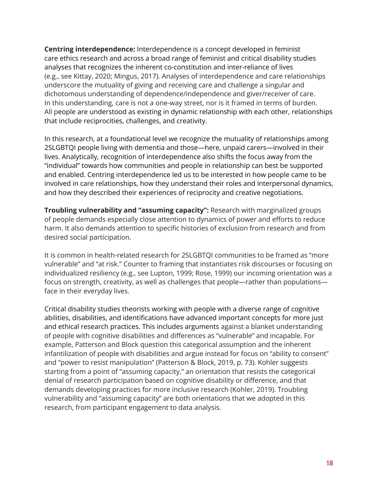**Centring interdependence:** Interdependence is a concept developed in feminist care ethics research and across a broad range of feminist and critical disability studies analyses that recognizes the inherent co-constitution and inter-reliance of lives (e.g., see Kittay, 2020; Mingus, 2017). Analyses of interdependence and care relationships underscore the mutuality of giving and receiving care and challenge a singular and dichotomous understanding of dependence/independence and giver/receiver of care. In this understanding, care is not a one-way street, nor is it framed in terms of burden. All people are understood as existing in dynamic relationship with each other, relationships that include reciprocities, challenges, and creativity.

In this research, at a foundational level we recognize the mutuality of relationships among 2SLGBTQI people living with dementia and those—here, unpaid carers—involved in their lives. Analytically, recognition of interdependence also shifts the focus away from the "individual" towards how communities and people in relationship can best be supported and enabled. Centring interdependence led us to be interested in how people came to be involved in care relationships, how they understand their roles and interpersonal dynamics, and how they described their experiences of reciprocity and creative negotiations.

**Troubling vulnerability and "assuming capacity":** Research with marginalized groups of people demands especially close attention to dynamics of power and efforts to reduce harm. It also demands attention to specific histories of exclusion from research and from desired social participation.

It is common in health-related research for 2SLGBTQI communities to be framed as "more vulnerable" and "at risk." Counter to framing that instantiates risk discourses or focusing on individualized resiliency (e.g., see Lupton, 1999; Rose, 1999) our incoming orientation was a focus on strength, creativity, as well as challenges that people—rather than populations face in their everyday lives.

Critical disability studies theorists working with people with a diverse range of cognitive abilities, disabilities, and identifications have advanced important concepts for more just and ethical research practices. This includes arguments against a blanket understanding of people with cognitive disabilities and differences as "vulnerable" and incapable. For example, Patterson and Block question this categorical assumption and the inherent infantilization of people with disabilities and argue instead for focus on "ability to consent" and "power to resist manipulation" (Patterson & Block, 2019, p. 73). Kohler suggests starting from a point of "assuming capacity," an orientation that resists the categorical denial of research participation based on cognitive disability or difference, and that demands developing practices for more inclusive research (Kohler, 2019). Troubling vulnerability and "assuming capacity" are both orientations that we adopted in this research, from participant engagement to data analysis.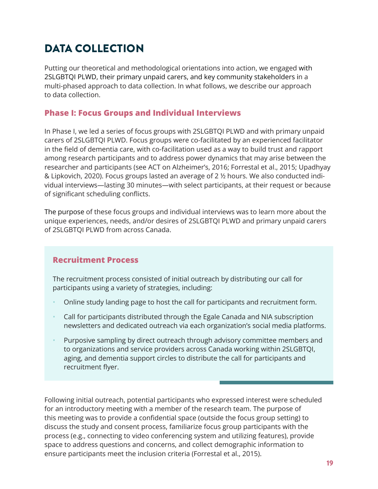# <span id="page-18-0"></span>DATA COLLECTION

Putting our theoretical and methodological orientations into action, we engaged with 2SLGBTQI PLWD, their primary unpaid carers, and key community stakeholders in a multi-phased approach to data collection. In what follows, we describe our approach to data collection.

### **Phase I: Focus Groups and Individual Interviews**

In Phase I, we led a series of focus groups with 2SLGBTQI PLWD and with primary unpaid carers of 2SLGBTQI PLWD. Focus groups were co-facilitated by an experienced facilitator in the field of dementia care, with co-facilitation used as a way to build trust and rapport among research participants and to address power dynamics that may arise between the researcher and participants (see ACT on Alzheimer's, 2016; Forrestal et al., 2015; Upadhyay & Lipkovich, 2020). Focus groups lasted an average of 2 ½ hours. We also conducted individual interviews—lasting 30 minutes—with select participants, at their request or because of significant scheduling conflicts.

The purpose of these focus groups and individual interviews was to learn more about the unique experiences, needs, and/or desires of 2SLGBTQI PLWD and primary unpaid carers of 2SLGBTQI PLWD from across Canada.

### **Recruitment Process**

The recruitment process consisted of initial outreach by distributing our call for participants using a variety of strategies, including:

- Online study landing page to host the call for participants and recruitment form.
- Call for participants distributed through the Egale Canada and NIA subscription newsletters and dedicated outreach via each organization's social media platforms.
- Purposive sampling by direct outreach through advisory committee members and to organizations and service providers across Canada working within 2SLGBTQI, aging, and dementia support circles to distribute the call for participants and recruitment flyer.

Following initial outreach, potential participants who expressed interest were scheduled for an introductory meeting with a member of the research team. The purpose of this meeting was to provide a confidential space (outside the focus group setting) to discuss the study and consent process, familiarize focus group participants with the process (e.g., connecting to video conferencing system and utilizing features), provide space to address questions and concerns, and collect demographic information to ensure participants meet the inclusion criteria (Forrestal et al., 2015).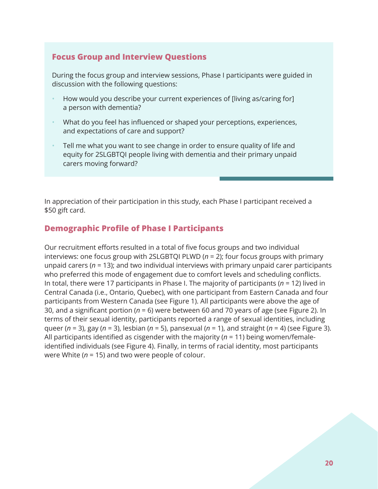### **Focus Group and Interview Questions**

During the focus group and interview sessions, Phase I participants were guided in discussion with the following questions:

- How would you describe your current experiences of [living as/caring for] a person with dementia?
- What do you feel has influenced or shaped your perceptions, experiences, and expectations of care and support?
- Tell me what you want to see change in order to ensure quality of life and equity for 2SLGBTQI people living with dementia and their primary unpaid carers moving forward?

In appreciation of their participation in this study, each Phase I participant received a \$50 gift card.

### **Demographic Profile of Phase I Participants**

Our recruitment efforts resulted in a total of five focus groups and two individual interviews: one focus group with 2SLGBTQI PLWD (*n* = 2); four focus groups with primary unpaid carers (*n* = 13); and two individual interviews with primary unpaid carer participants who preferred this mode of engagement due to comfort levels and scheduling conflicts. In total, there were 17 participants in Phase I. The majority of participants (*n* = 12) lived in Central Canada (i.e., Ontario, Quebec), with one participant from Eastern Canada and four participants from Western Canada (see Figure 1). All participants were above the age of 30, and a significant portion (*n* = 6) were between 60 and 70 years of age (see Figure 2). In terms of their sexual identity, participants reported a range of sexual identities, including queer (*n* = 3), gay (*n* = 3), lesbian (*n* = 5), pansexual (*n* = 1), and straight (*n* = 4) (see Figure 3). All participants identified as cisgender with the majority (*n* = 11) being women/femaleidentified individuals (see Figure 4). Finally, in terms of racial identity, most participants were White (*n* = 15) and two were people of colour.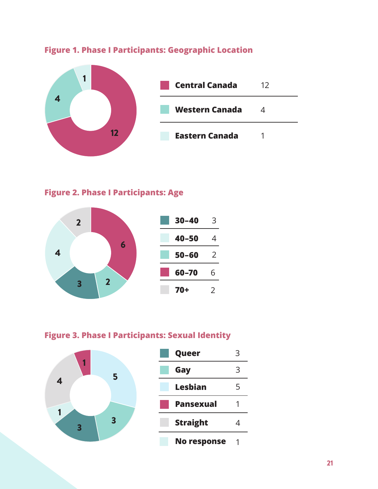

### **Figure 1. Phase I Participants: Geographic Location**

### **Figure 2. Phase I Participants: Age**



### **Figure 3. Phase I Participants: Sexual Identity**

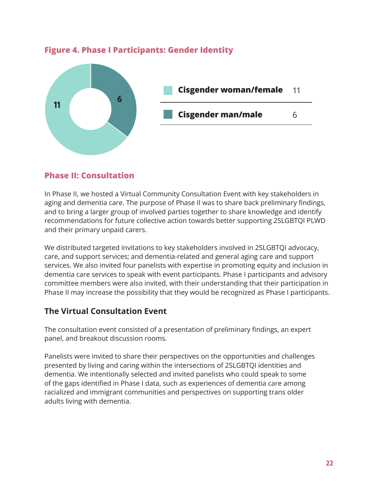

### **Figure 4. Phase I Participants: Gender Identity**

### **Phase II: Consultation**

In Phase II, we hosted a Virtual Community Consultation Event with key stakeholders in aging and dementia care. The purpose of Phase II was to share back preliminary findings, and to bring a larger group of involved parties together to share knowledge and identify recommendations for future collective action towards better supporting 2SLGBTQI PLWD and their primary unpaid carers.

We distributed targeted invitations to key stakeholders involved in 2SLGBTQI advocacy, care, and support services; and dementia-related and general aging care and support services. We also invited four panelists with expertise in promoting equity and inclusion in dementia care services to speak with event participants. Phase I participants and advisory committee members were also invited, with their understanding that their participation in Phase II may increase the possibility that they would be recognized as Phase I participants.

### **The Virtual Consultation Event**

The consultation event consisted of a presentation of preliminary findings, an expert panel, and breakout discussion rooms.

Panelists were invited to share their perspectives on the opportunities and challenges presented by living and caring within the intersections of 2SLGBTQI identities and dementia. We intentionally selected and invited panelists who could speak to some of the gaps identified in Phase I data, such as experiences of dementia care among racialized and immigrant communities and perspectives on supporting trans older adults living with dementia.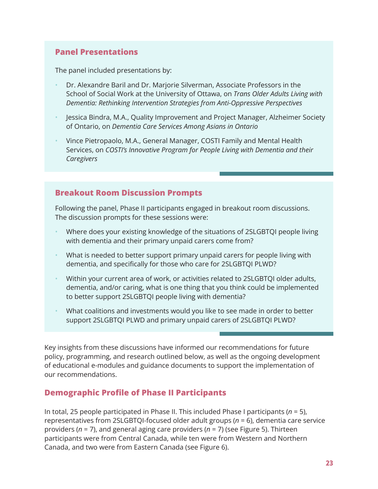### **Panel Presentations**

The panel included presentations by:

- Dr. Alexandre Baril and Dr. Marjorie Silverman, Associate Professors in the School of Social Work at the University of Ottawa, on *Trans Older Adults Living with Dementia: Rethinking Intervention Strategies from Anti-Oppressive Perspectives*
- Jessica Bindra, M.A., Quality Improvement and Project Manager, Alzheimer Society of Ontario, on *Dementia Care Services Among Asians in Ontario*
- Vince Pietropaolo, M.A., General Manager, COSTI Family and Mental Health Services, on *COSTI's Innovative Program for People Living with Dementia and their Caregivers*

### **Breakout Room Discussion Prompts**

Following the panel, Phase II participants engaged in breakout room discussions. The discussion prompts for these sessions were:

- Where does your existing knowledge of the situations of 2SLGBTQI people living with dementia and their primary unpaid carers come from?
- What is needed to better support primary unpaid carers for people living with dementia, and specifically for those who care for 2SLGBTQI PLWD?
- Within your current area of work, or activities related to 2SLGBTQI older adults, dementia, and/or caring, what is one thing that you think could be implemented to better support 2SLGBTQI people living with dementia?
- What coalitions and investments would you like to see made in order to better support 2SLGBTQI PLWD and primary unpaid carers of 2SLGBTQI PLWD?

Key insights from these discussions have informed our recommendations for future policy, programming, and research outlined below, as well as the ongoing development of educational e-modules and guidance documents to support the implementation of our recommendations.

### **Demographic Profile of Phase II Participants**

In total, 25 people participated in Phase II. This included Phase I participants (*n* = 5), representatives from 2SLGBTQI-focused older adult groups (*n* = 6), dementia care service providers (*n* = 7), and general aging care providers (*n* = 7) (see Figure 5). Thirteen participants were from Central Canada, while ten were from Western and Northern Canada, and two were from Eastern Canada (see Figure 6).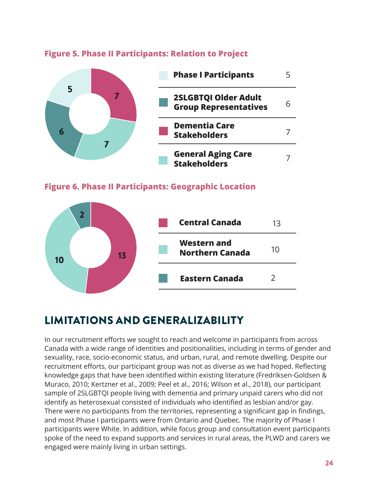

### <span id="page-23-0"></span>**Figure 5. Phase II Participants: Relation to Project**





# LIMITATIONS AND GENERALIZABILITY

In our recruitment efforts we sought to reach and welcome in participants from across Canada with a wide range of identities and positionalities, including in terms of gender and sexuality, race, socio-economic status, and urban, rural, and remote dwelling. Despite our recruitment efforts, our participant group was not as diverse as we had hoped. Reflecting knowledge gaps that have been identified within existing literature (Fredriksen-Goldsen & Muraco, 2010; Kertzner et al., 2009; Peel et al., 2016; Wilson et al., 2018), our participant sample of 2SLGBTQI people living with dementia and primary unpaid carers who did not identify as heterosexual consisted of individuals who identified as lesbian and/or gay. There were no participants from the territories, representing a significant gap in findings, and most Phase I participants were from Ontario and Quebec. The majority of Phase I participants were White. In addition, while focus group and consultation event participants spoke of the need to expand supports and services in rural areas, the PLWD and carers we engaged were mainly living in urban settings.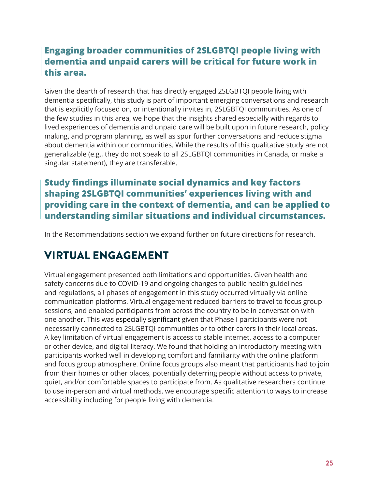# <span id="page-24-0"></span>**Engaging broader communities of 2SLGBTQI people living with dementia and unpaid carers will be critical for future work in this area.**

Given the dearth of research that has directly engaged 2SLGBTQI people living with dementia specifically, this study is part of important emerging conversations and research that is explicitly focused on, or intentionally invites in, 2SLGBTQI communities. As one of the few studies in this area, we hope that the insights shared especially with regards to lived experiences of dementia and unpaid care will be built upon in future research, policy making, and program planning, as well as spur further conversations and reduce stigma about dementia within our communities. While the results of this qualitative study are not generalizable (e.g., they do not speak to all 2SLGBTQI communities in Canada, or make a singular statement), they are transferable.

# **Study findings illuminate social dynamics and key factors shaping 2SLGBTQI communities' experiences living with and providing care in the context of dementia, and can be applied to understanding similar situations and individual circumstances.**

In the Recommendations section we expand further on future directions for research.

# VIRTUAL ENGAGEMENT

Virtual engagement presented both limitations and opportunities. Given health and safety concerns due to COVID-19 and ongoing changes to public health guidelines and regulations, all phases of engagement in this study occurred virtually via online communication platforms. Virtual engagement reduced barriers to travel to focus group sessions, and enabled participants from across the country to be in conversation with one another. This was especially significant given that Phase I participants were not necessarily connected to 2SLGBTQI communities or to other carers in their local areas. A key limitation of virtual engagement is access to stable internet, access to a computer or other device, and digital literacy. We found that holding an introductory meeting with participants worked well in developing comfort and familiarity with the online platform and focus group atmosphere. Online focus groups also meant that participants had to join from their homes or other places, potentially deterring people without access to private, quiet, and/or comfortable spaces to participate from. As qualitative researchers continue to use in-person and virtual methods, we encourage specific attention to ways to increase accessibility including for people living with dementia.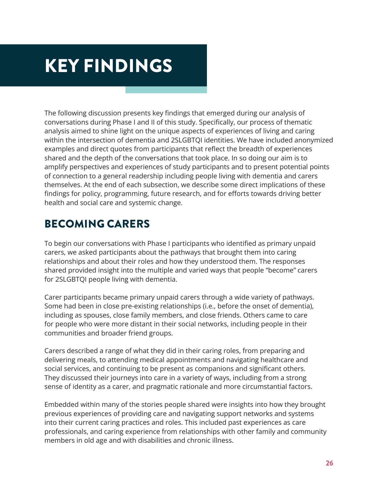# <span id="page-25-0"></span>KEY FINDINGS

The following discussion presents key findings that emerged during our analysis of conversations during Phase I and II of this study. Specifically, our process of thematic analysis aimed to shine light on the unique aspects of experiences of living and caring within the intersection of dementia and 2SLGBTQI identities. We have included anonymized examples and direct quotes from participants that reflect the breadth of experiences shared and the depth of the conversations that took place. In so doing our aim is to amplify perspectives and experiences of study participants and to present potential points of connection to a general readership including people living with dementia and carers themselves. At the end of each subsection, we describe some direct implications of these findings for policy, programming, future research, and for efforts towards driving better health and social care and systemic change.

# BECOMING CARERS

To begin our conversations with Phase I participants who identified as primary unpaid carers, we asked participants about the pathways that brought them into caring relationships and about their roles and how they understood them. The responses shared provided insight into the multiple and varied ways that people "become" carers for 2SLGBTQI people living with dementia.

Carer participants became primary unpaid carers through a wide variety of pathways. Some had been in close pre-existing relationships (i.e., before the onset of dementia), including as spouses, close family members, and close friends. Others came to care for people who were more distant in their social networks, including people in their communities and broader friend groups.

Carers described a range of what they did in their caring roles, from preparing and delivering meals, to attending medical appointments and navigating healthcare and social services, and continuing to be present as companions and significant others. They discussed their journeys into care in a variety of ways, including from a strong sense of identity as a carer, and pragmatic rationale and more circumstantial factors.

Embedded within many of the stories people shared were insights into how they brought previous experiences of providing care and navigating support networks and systems into their current caring practices and roles. This included past experiences as care professionals, and caring experience from relationships with other family and community members in old age and with disabilities and chronic illness.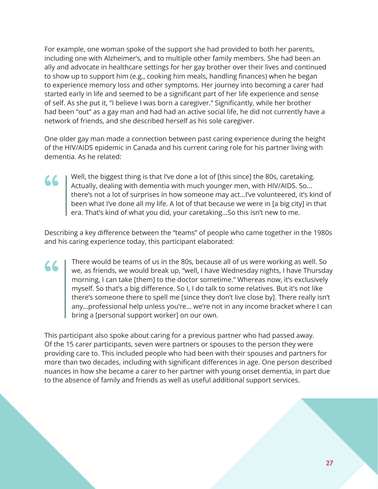For example, one woman spoke of the support she had provided to both her parents, including one with Alzheimer's, and to multiple other family members. She had been an ally and advocate in healthcare settings for her gay brother over their lives and continued to show up to support him (e.g., cooking him meals, handling finances) when he began to experience memory loss and other symptoms. Her journey into becoming a carer had started early in life and seemed to be a significant part of her life experience and sense of self. As she put it, "I believe I was born a caregiver." Significantly, while her brother had been "out" as a gay man and had had an active social life, he did not currently have a network of friends, and she described herself as his sole caregiver.

One older gay man made a connection between past caring experience during the height of the HIV/AIDS epidemic in Canada and his current caring role for his partner living with dementia. As he related:

**" (1)** 

Well, the biggest thing is that I've done a lot of [this since] the 80s, caretaking. Actually, dealing with dementia with much younger men, with HIV/AIDS. So… there's not a lot of surprises in how someone may act…I've volunteered, it's kind of been what I've done all my life. A lot of that because we were in [a big city] in that era. That's kind of what you did, your caretaking...So this isn't new to me.

Describing a key difference between the "teams" of people who came together in the 1980s and his caring experience today, this participant elaborated:

There would be teams of us in the 80s, because all of us were working as well. So we, as friends, we would break up, "well, I have Wednesday nights, I have Thursday morning, I can take [them] to the doctor sometime." Whereas now, it's exclusively myself. So that's a big difference. So I, I do talk to some relatives. But it's not like there's someone there to spell me [since they don't live close by]. There really isn't any…professional help unless you're... we're not in any income bracket where I can bring a [personal support worker] on our own. "

This participant also spoke about caring for a previous partner who had passed away. Of the 15 carer participants, seven were partners or spouses to the person they were providing care to. This included people who had been with their spouses and partners for more than two decades, including with significant differences in age. One person described nuances in how she became a carer to her partner with young onset dementia, in part due to the absence of family and friends as well as useful additional support services.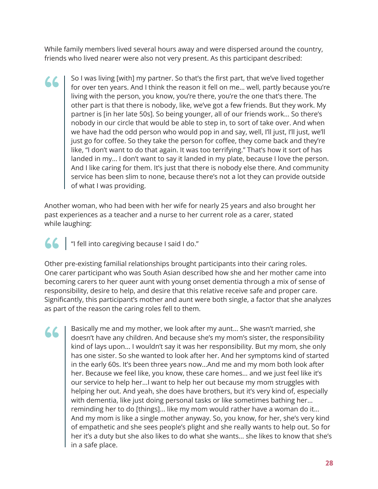While family members lived several hours away and were dispersed around the country, friends who lived nearer were also not very present. As this participant described:

So I was living [with] my partner. So that's the first part, that we've lived together for over ten years. And I think the reason it fell on me... well, partly because you're living with the person, you know, you're there, you're the one that's there. The other part is that there is nobody, like, we've got a few friends. But they work. My partner is [in her late 50s]. So being younger, all of our friends work... So there's nobody in our circle that would be able to step in, to sort of take over. And when we have had the odd person who would pop in and say, well, I'll just, I'll just, we'll just go for coffee. So they take the person for coffee, they come back and they're like, "I don't want to do that again. It was too terrifying." That's how it sort of has landed in my... I don't want to say it landed in my plate, because I love the person. And I like caring for them. It's just that there is nobody else there. And community service has been slim to none, because there's not a lot they can provide outside of what I was providing. "

Another woman, who had been with her wife for nearly 25 years and also brought her past experiences as a teacher and a nurse to her current role as a carer, stated while laughing:

(CCC) "I fell into caregiving because I said I do."<br>
Other pre-existing familial relationships brought por caregisting familial relationships brought por caregisting familial relationships brought por caregisting familial Other pre-existing familial relationships brought participants into their caring roles. One carer participant who was South Asian described how she and her mother came into becoming carers to her queer aunt with young onset dementia through a mix of sense of responsibility, desire to help, and desire that this relative receive safe and proper care. Significantly, this participant's mother and aunt were both single, a factor that she analyzes as part of the reason the caring roles fell to them.

Basically me and my mother, we look after my aunt... She wasn't married, she doesn't have any children. And because she's my mom's sister, the responsibility kind of lays upon... I wouldn't say it was her responsibility. But my mom, she only has one sister. So she wanted to look after her. And her symptoms kind of started in the early 60s. It's been three years now...And me and my mom both look after her. Because we feel like, you know, these care homes... and we just feel like it's our service to help her...I want to help her out because my mom struggles with helping her out. And yeah, she does have brothers, but it's very kind of, especially with dementia, like just doing personal tasks or like sometimes bathing her... reminding her to do [things]... like my mom would rather have a woman do it... And my mom is like a single mother anyway. So, you know, for her, she's very kind of empathetic and she sees people's plight and she really wants to help out. So for her it's a duty but she also likes to do what she wants... she likes to know that she's in a safe place. "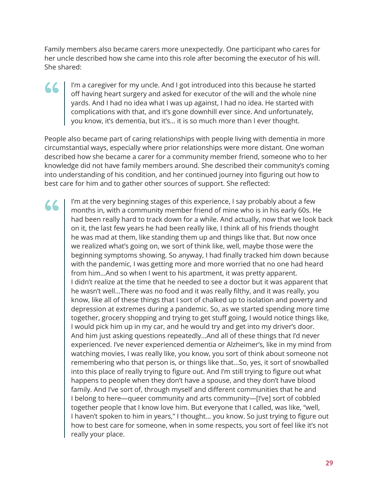Family members also became carers more unexpectedly. One participant who cares for her uncle described how she came into this role after becoming the executor of his will. She shared:

#### I'm a caregiver for my uncle. And I got introduced into this because he started off having heart surgery and asked for executor of the will and the whole nine yards. And I had no idea what I was up against, I had no idea. He started with complications with that, and it's gone downhill ever since. And unfortunately, you know, it's dementia, but it's... it is so much more than I ever thought. **" (1)**

People also became part of caring relationships with people living with dementia in more circumstantial ways, especially where prior relationships were more distant. One woman described how she became a carer for a community member friend, someone who to her knowledge did not have family members around. She described their community's coming into understanding of his condition, and her continued journey into figuring out how to best care for him and to gather other sources of support. She reflected:

I'm at the very beginning stages of this experience, I say probably about a few months in, with a community member friend of mine who is in his early 60s. He had been really hard to track down for a while. And actually, now that we look back on it, the last few years he had been really like, I think all of his friends thought he was mad at them, like standing them up and things like that. But now once we realized what's going on, we sort of think like, well, maybe those were the beginning symptoms showing. So anyway, I had finally tracked him down because with the pandemic, I was getting more and more worried that no one had heard from him...And so when I went to his apartment, it was pretty apparent. I didn't realize at the time that he needed to see a doctor but it was apparent that he wasn't well...There was no food and it was really filthy, and it was really, you know, like all of these things that I sort of chalked up to isolation and poverty and depression at extremes during a pandemic. So, as we started spending more time together, grocery shopping and trying to get stuff going, I would notice things like, I would pick him up in my car, and he would try and get into my driver's door. And him just asking questions repeatedly...And all of these things that I'd never experienced. I've never experienced dementia or Alzheimer's, like in my mind from watching movies, I was really like, you know, you sort of think about someone not remembering who that person is, or things like that...So, yes, it sort of snowballed into this place of really trying to figure out. And I'm still trying to figure out what happens to people when they don't have a spouse, and they don't have blood family. And I've sort of, through myself and different communities that he and I belong to here—queer community and arts community—[I've] sort of cobbled together people that I know love him. But everyone that I called, was like, "well, I haven't spoken to him in years," I thought... you know. So just trying to figure out how to best care for someone, when in some respects, you sort of feel like it's not really your place. "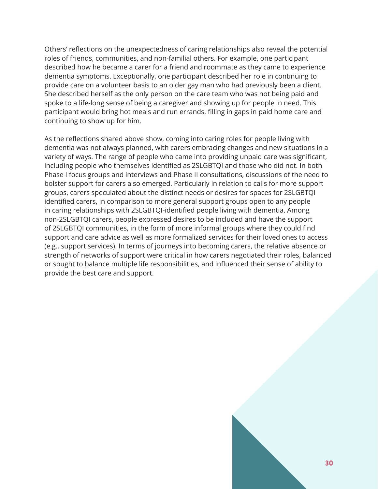Others' reflections on the unexpectedness of caring relationships also reveal the potential roles of friends, communities, and non-familial others. For example, one participant described how he became a carer for a friend and roommate as they came to experience dementia symptoms. Exceptionally, one participant described her role in continuing to provide care on a volunteer basis to an older gay man who had previously been a client. She described herself as the only person on the care team who was not being paid and spoke to a life-long sense of being a caregiver and showing up for people in need. This participant would bring hot meals and run errands, filling in gaps in paid home care and continuing to show up for him.

As the reflections shared above show, coming into caring roles for people living with dementia was not always planned, with carers embracing changes and new situations in a variety of ways. The range of people who came into providing unpaid care was significant, including people who themselves identified as 2SLGBTQI and those who did not. In both Phase I focus groups and interviews and Phase II consultations, discussions of the need to bolster support for carers also emerged. Particularly in relation to calls for more support groups, carers speculated about the distinct needs or desires for spaces for 2SLGBTQI identified carers, in comparison to more general support groups open to any people in caring relationships with 2SLGBTQI-identified people living with dementia. Among non-2SLGBTQI carers, people expressed desires to be included and have the support of 2SLGBTQI communities, in the form of more informal groups where they could find support and care advice as well as more formalized services for their loved ones to access (e.g., support services). In terms of journeys into becoming carers, the relative absence or strength of networks of support were critical in how carers negotiated their roles, balanced or sought to balance multiple life responsibilities, and influenced their sense of ability to provide the best care and support.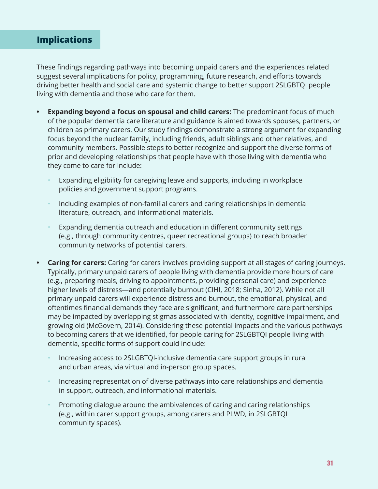# <span id="page-30-0"></span>**Implications**

These findings regarding pathways into becoming unpaid carers and the experiences related suggest several implications for policy, programming, future research, and efforts towards driving better health and social care and systemic change to better support 2SLGBTQI people living with dementia and those who care for them.

- **• Expanding beyond a focus on spousal and child carers:** The predominant focus of much of the popular dementia care literature and guidance is aimed towards spouses, partners, or children as primary carers. Our study findings demonstrate a strong argument for expanding focus beyond the nuclear family, including friends, adult siblings and other relatives, and community members. Possible steps to better recognize and support the diverse forms of prior and developing relationships that people have with those living with dementia who they come to care for include:
	- Expanding eligibility for caregiving leave and supports, including in workplace policies and government support programs.
	- Including examples of non-familial carers and caring relationships in dementia literature, outreach, and informational materials.
	- Expanding dementia outreach and education in different community settings (e.g., through community centres, queer recreational groups) to reach broader community networks of potential carers.
- **• Caring for carers:** Caring for carers involves providing support at all stages of caring journeys. Typically, primary unpaid carers of people living with dementia provide more hours of care (e.g., preparing meals, driving to appointments, providing personal care) and experience higher levels of distress—and potentially burnout (CIHI, 2018; Sinha, 2012). While not all primary unpaid carers will experience distress and burnout, the emotional, physical, and oftentimes financial demands they face are significant, and furthermore care partnerships may be impacted by overlapping stigmas associated with identity, cognitive impairment, and growing old (McGovern, 2014). Considering these potential impacts and the various pathways to becoming carers that we identified, for people caring for 2SLGBTQI people living with dementia, specific forms of support could include:
	- Increasing access to 2SLGBTQI-inclusive dementia care support groups in rural and urban areas, via virtual and in-person group spaces.
	- Increasing representation of diverse pathways into care relationships and dementia in support, outreach, and informational materials.
	- Promoting dialogue around the ambivalences of caring and caring relationships (e.g., within carer support groups, among carers and PLWD, in 2SLGBTQI community spaces).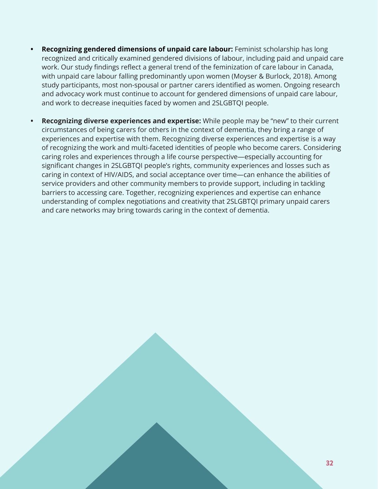- **• Recognizing gendered dimensions of unpaid care labour:** Feminist scholarship has long recognized and critically examined gendered divisions of labour, including paid and unpaid care work. Our study findings reflect a general trend of the feminization of care labour in Canada, with unpaid care labour falling predominantly upon women (Moyser & Burlock, 2018). Among study participants, most non-spousal or partner carers identified as women. Ongoing research and advocacy work must continue to account for gendered dimensions of unpaid care labour, and work to decrease inequities faced by women and 2SLGBTQI people.
- **• Recognizing diverse experiences and expertise:** While people may be "new" to their current circumstances of being carers for others in the context of dementia, they bring a range of experiences and expertise with them. Recognizing diverse experiences and expertise is a way of recognizing the work and multi-faceted identities of people who become carers. Considering caring roles and experiences through a life course perspective—especially accounting for significant changes in 2SLGBTQI people's rights, community experiences and losses such as caring in context of HIV/AIDS, and social acceptance over time—can enhance the abilities of service providers and other community members to provide support, including in tackling barriers to accessing care. Together, recognizing experiences and expertise can enhance understanding of complex negotiations and creativity that 2SLGBTQI primary unpaid carers and care networks may bring towards caring in the context of dementia.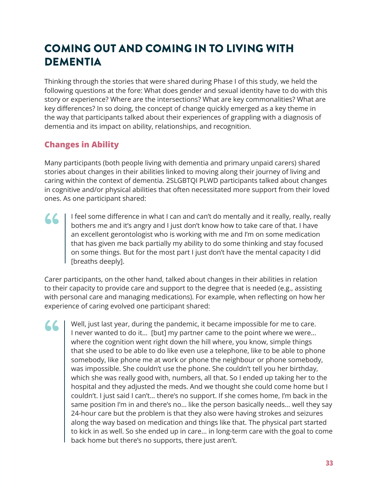# <span id="page-32-0"></span>COMING OUT AND COMING IN TO LIVING WITH **DEMENTIA**

Thinking through the stories that were shared during Phase I of this study, we held the following questions at the fore: What does gender and sexual identity have to do with this story or experience? Where are the intersections? What are key commonalities? What are key differences? In so doing, the concept of change quickly emerged as a key theme in the way that participants talked about their experiences of grappling with a diagnosis of dementia and its impact on ability, relationships, and recognition.

# **Changes in Ability**

"

Many participants (both people living with dementia and primary unpaid carers) shared stories about changes in their abilities linked to moving along their journey of living and caring within the context of dementia. 2SLGBTQI PLWD participants talked about changes in cognitive and/or physical abilities that often necessitated more support from their loved ones. As one participant shared:

I feel some difference in what I can and can't do mentally and it really, really, really bothers me and it's angry and I just don't know how to take care of that. I have an excellent gerontologist who is working with me and I'm on some medication that has given me back partially my ability to do some thinking and stay focused on some things. But for the most part I just don't have the mental capacity I did [breaths deeply]. **" (1)** 

Carer participants, on the other hand, talked about changes in their abilities in relation to their capacity to provide care and support to the degree that is needed (e.g., assisting with personal care and managing medications). For example, when reflecting on how her experience of caring evolved one participant shared:

Well, just last year, during the pandemic, it became impossible for me to care. I never wanted to do it... [but] my partner came to the point where we were... where the cognition went right down the hill where, you know, simple things that she used to be able to do like even use a telephone, like to be able to phone somebody, like phone me at work or phone the neighbour or phone somebody, was impossible. She couldn't use the phone. She couldn't tell you her birthday, which she was really good with, numbers, all that. So I ended up taking her to the hospital and they adjusted the meds. And we thought she could come home but I couldn't. I just said I can't... there's no support. If she comes home, I'm back in the same position I'm in and there's no... like the person basically needs... well they say 24-hour care but the problem is that they also were having strokes and seizures along the way based on medication and things like that. The physical part started to kick in as well. So she ended up in care... in long-term care with the goal to come back home but there's no supports, there just aren't.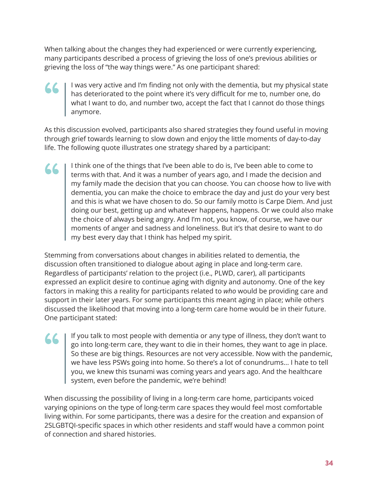When talking about the changes they had experienced or were currently experiencing, many participants described a process of grieving the loss of one's previous abilities or grieving the loss of "the way things were." As one participant shared:

**" (1)** 

**" (1)** 

#### I was very active and I'm finding not only with the dementia, but my physical state has deteriorated to the point where it's very difficult for me to, number one, do what I want to do, and number two, accept the fact that I cannot do those things anymore.

As this discussion evolved, participants also shared strategies they found useful in moving through grief towards learning to slow down and enjoy the little moments of day-to-day life. The following quote illustrates one strategy shared by a participant:

I think one of the things that I've been able to do is, I've been able to come to terms with that. And it was a number of years ago, and I made the decision and my family made the decision that you can choose. You can choose how to live with dementia, you can make the choice to embrace the day and just do your very best and this is what we have chosen to do. So our family motto is Carpe Diem. And just doing our best, getting up and whatever happens, happens. Or we could also make the choice of always being angry. And I'm not, you know, of course, we have our moments of anger and sadness and loneliness. But it's that desire to want to do my best every day that I think has helped my spirit. **""** 

Stemming from conversations about changes in abilities related to dementia, the discussion often transitioned to dialogue about aging in place and long-term care. Regardless of participants' relation to the project (i.e., PLWD, carer), all participants expressed an explicit desire to continue aging with dignity and autonomy. One of the key factors in making this a reality for participants related to *who* would be providing care and support in their later years. For some participants this meant aging in place; while others discussed the likelihood that moving into a long-term care home would be in their future. One participant stated:

If you talk to most people with dementia or any type of illness, they don't want to go into long-term care, they want to die in their homes, they want to age in place. So these are big things. Resources are not very accessible. Now with the pandemic, we have less PSWs going into home. So there's a lot of conundrums... I hate to tell you, we knew this tsunami was coming years and years ago. And the healthcare system, even before the pandemic, we're behind!

When discussing the possibility of living in a long-term care home, participants voiced varying opinions on the type of long-term care spaces they would feel most comfortable living within. For some participants, there was a desire for the creation and expansion of 2SLGBTQI-specific spaces in which other residents and staff would have a common point of connection and shared histories.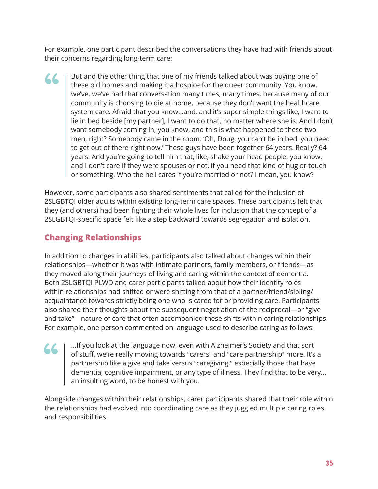For example, one participant described the conversations they have had with friends about their concerns regarding long-term care:

But and the other thing that one of my friends talked about was buying one of these old homes and making it a hospice for the queer community. You know, we've, we've had that conversation many times, many times, because many of our community is choosing to die at home, because they don't want the healthcare system care. Afraid that you know...and, and it's super simple things like, I want to lie in bed beside [my partner], I want to do that, no matter where she is. And I don't want somebody coming in, you know, and this is what happened to these two men, right? Somebody came in the room. 'Oh, Doug, you can't be in bed, you need to get out of there right now.' These guys have been together 64 years. Really? 64 years. And you're going to tell him that, like, shake your head people, you know, and I don't care if they were spouses or not, if you need that kind of hug or touch or something. Who the hell cares if you're married or not? I mean, you know? **" (1)** 

However, some participants also shared sentiments that called for the inclusion of 2SLGBTQI older adults within existing long-term care spaces. These participants felt that they (and others) had been fighting their whole lives for inclusion that the concept of a 2SLGBTQI-specific space felt like a step backward towards segregation and isolation.

# **Changing Relationships**

**""** 

In addition to changes in abilities, participants also talked about changes within their relationships—whether it was with intimate partners, family members, or friends—as they moved along their journeys of living and caring within the context of dementia. Both 2SLGBTQI PLWD and carer participants talked about how their identity roles within relationships had shifted or were shifting from that of a partner/friend/sibling/ acquaintance towards strictly being one who is cared for or providing care. Participants also shared their thoughts about the subsequent negotiation of the reciprocal—or "give and take"—nature of care that often accompanied these shifts within caring relationships. For example, one person commented on language used to describe caring as follows:

...If you look at the language now, even with Alzheimer's Society and that sort of stuff, we're really moving towards "carers" and "care partnership" more. It's a partnership like a give and take versus "caregiving," especially those that have dementia, cognitive impairment, or any type of illness. They find that to be very... an insulting word, to be honest with you.

Alongside changes within their relationships, carer participants shared that their role within the relationships had evolved into coordinating care as they juggled multiple caring roles and responsibilities.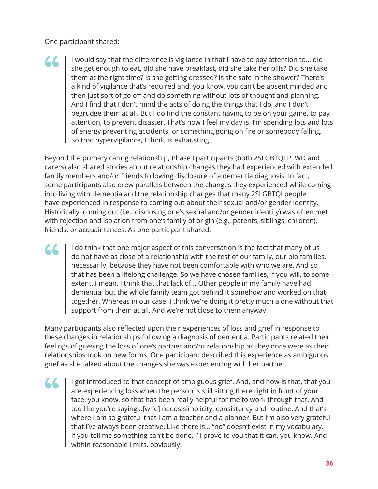One participant shared:

"

I would say that the difference is vigilance in that I have to pay attention to... did she get enough to eat, did she have breakfast, did she take her pills? Did she take them at the right time? Is she getting dressed? Is she safe in the shower? There's a kind of vigilance that's required and, you know, you can't be absent minded and then just sort of go off and do something without lots of thought and planning. And I find that I don't mind the acts of doing the things that I do, and I don't begrudge them at all. But I do find the constant having to be on your game, to pay attention, to prevent disaster. That's how I feel my day is. I'm spending lots and lots of energy preventing accidents, or something going on fire or somebody falling. So that hypervigilance, I think, is exhausting. **" (1)** 

Beyond the primary caring relationship, Phase I participants (both 2SLGBTQI PLWD and carers) also shared stories about relationship changes they had experienced with extended family members and/or friends following disclosure of a dementia diagnosis. In fact, some participants also drew parallels between the changes they experienced while coming into living with dementia and the relationship changes that many 2SLGBTQI people have experienced in response to coming out about their sexual and/or gender identity. Historically, coming out (i.e., disclosing one's sexual and/or gender identity) was often met with rejection and isolation from one's family of origin (e.g., parents, siblings, children), friends, or acquaintances. As one participant shared:

I do think that one major aspect of this conversation is the fact that many of us do not have as close of a relationship with the rest of our family, our bio families, necessarily, because they have not been comfortable with who we are. And so that has been a lifelong challenge. So we have chosen families, if you will, to some extent. I mean, I think that that lack of... Other people in my family have had dementia, but the whole family team got behind it somehow and worked on that together. Whereas in our case, I think we're doing it pretty much alone without that support from them at all. And we're not close to them anyway.

Many participants also reflected upon their experiences of loss and grief in response to these changes in relationships following a diagnosis of dementia. Participants related their feelings of grieving the loss of one's partner and/or relationship as they once were as their relationships took on new forms. One participant described this experience as ambiguous grief as she talked about the changes she was experiencing with her partner:

I got introduced to that concept of ambiguous grief. And, and how is that, that you are experiencing loss when the person is still sitting there right in front of your face, you know, so that has been really helpful for me to work through that. And too like you're saying...[wife] needs simplicity, consistency and routine. And that's where I am so grateful that I am a teacher and a planner. But I'm also very grateful that I've always been creative. Like there is... "no" doesn't exist in my vocabulary. If you tell me something can't be done, I'll prove to you that it can, you know. And within reasonable limits, obviously. 66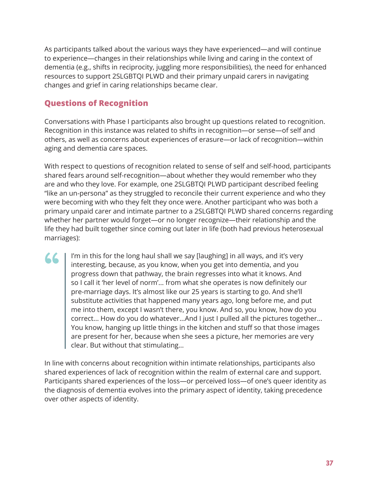As participants talked about the various ways they have experienced—and will continue to experience—changes in their relationships while living and caring in the context of dementia (e.g., shifts in reciprocity, juggling more responsibilities), the need for enhanced resources to support 2SLGBTQI PLWD and their primary unpaid carers in navigating changes and grief in caring relationships became clear.

### **Questions of Recognition**

"

Conversations with Phase I participants also brought up questions related to recognition. Recognition in this instance was related to shifts in recognition—or sense—of self and others, as well as concerns about experiences of erasure—or lack of recognition—within aging and dementia care spaces.

With respect to questions of recognition related to sense of self and self-hood, participants shared fears around self-recognition—about whether they would remember who they are and who they love. For example, one 2SLGBTQI PLWD participant described feeling "like an un-persona" as they struggled to reconcile their current experience and who they were becoming with who they felt they once were. Another participant who was both a primary unpaid carer and intimate partner to a 2SLGBTQI PLWD shared concerns regarding whether her partner would forget—or no longer recognize—their relationship and the life they had built together since coming out later in life (both had previous heterosexual marriages):

I'm in this for the long haul shall we say [laughing] in all ways, and it's very interesting, because, as you know, when you get into dementia, and you progress down that pathway, the brain regresses into what it knows. And so I call it 'her level of norm'... from what she operates is now definitely our pre-marriage days. It's almost like our 25 years is starting to go. And she'll substitute activities that happened many years ago, long before me, and put me into them, except I wasn't there, you know. And so, you know, how do you correct... How do you do whatever...And I just I pulled all the pictures together... You know, hanging up little things in the kitchen and stuff so that those images are present for her, because when she sees a picture, her memories are very clear. But without that stimulating...

In line with concerns about recognition within intimate relationships, participants also shared experiences of lack of recognition within the realm of external care and support. Participants shared experiences of the loss—or perceived loss—of one's queer identity as the diagnosis of dementia evolves into the primary aspect of identity, taking precedence over other aspects of identity.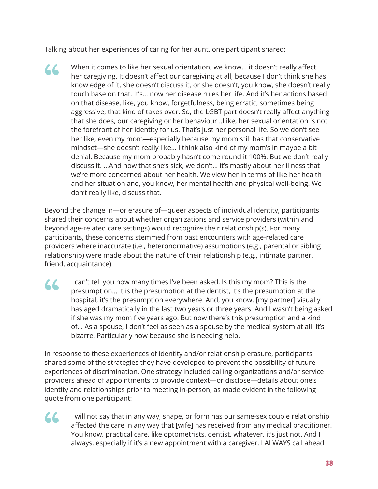Talking about her experiences of caring for her aunt, one participant shared:

When it comes to like her sexual orientation, we know... it doesn't really affect her caregiving. It doesn't affect our caregiving at all, because I don't think she has knowledge of it, she doesn't discuss it, or she doesn't, you know, she doesn't really touch base on that. It's... now her disease rules her life. And it's her actions based on that disease, like, you know, forgetfulness, being erratic, sometimes being aggressive, that kind of takes over. So, the LGBT part doesn't really affect anything that she does, our caregiving or her behaviour...Like, her sexual orientation is not the forefront of her identity for us. That's just her personal life. So we don't see her like, even my mom—especially because my mom still has that conservative mindset—she doesn't really like... I think also kind of my mom's in maybe a bit denial. Because my mom probably hasn't come round it 100%. But we don't really discuss it. ...And now that she's sick, we don't... it's mostly about her illness that we're more concerned about her health. We view her in terms of like her health and her situation and, you know, her mental health and physical well-being. We don't really like, discuss that. "

Beyond the change in—or erasure of—queer aspects of individual identity, participants shared their concerns about whether organizations and service providers (within and beyond age-related care settings) would recognize their relationship(s). For many participants, these concerns stemmed from past encounters with age-related care providers where inaccurate (i.e., heteronormative) assumptions (e.g., parental or sibling relationship) were made about the nature of their relationship (e.g., intimate partner, friend, acquaintance).

I can't tell you how many times I've been asked, Is this my mom? This is the presumption... it is the presumption at the dentist, it's the presumption at the hospital, it's the presumption everywhere. And, you know, [my partner] visually has aged dramatically in the last two years or three years. And I wasn't being asked if she was my mom five years ago. But now there's this presumption and a kind of... As a spouse, I don't feel as seen as a spouse by the medical system at all. It's bizarre. Particularly now because she is needing help. **" (1)** 

In response to these experiences of identity and/or relationship erasure, participants shared some of the strategies they have developed to prevent the possibility of future experiences of discrimination. One strategy included calling organizations and/or service providers ahead of appointments to provide context—or disclose—details about one's identity and relationships prior to meeting in-person, as made evident in the following quote from one participant:

**" (1)** 

I will not say that in any way, shape, or form has our same-sex couple relationship affected the care in any way that [wife] has received from any medical practitioner. You know, practical care, like optometrists, dentist, whatever, it's just not. And I always, especially if it's a new appointment with a caregiver, I ALWAYS call ahead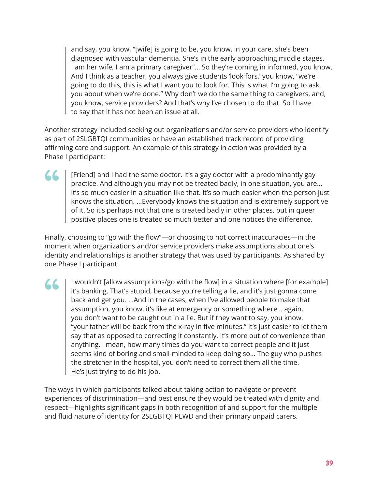and say, you know, "[wife] is going to be, you know, in your care, she's been diagnosed with vascular dementia. She's in the early approaching middle stages. I am her wife, I am a primary caregiver"... So they're coming in informed, you know. And I think as a teacher, you always give students 'look fors,' you know, "we're going to do this, this is what I want you to look for. This is what I'm going to ask you about when we're done." Why don't we do the same thing to caregivers, and, you know, service providers? And that's why I've chosen to do that. So I have to say that it has not been an issue at all.

Another strategy included seeking out organizations and/or service providers who identify as part of 2SLGBTQI communities or have an established track record of providing affirming care and support. An example of this strategy in action was provided by a Phase I participant:

**" (1)** 

[Friend] and I had the same doctor. It's a gay doctor with a predominantly gay practice. And although you may not be treated badly, in one situation, you are... it's so much easier in a situation like that. It's so much easier when the person just knows the situation. ...Everybody knows the situation and is extremely supportive of it. So it's perhaps not that one is treated badly in other places, but in queer positive places one is treated so much better and one notices the difference.

Finally, choosing to "go with the flow"—or choosing to not correct inaccuracies—in the moment when organizations and/or service providers make assumptions about one's identity and relationships is another strategy that was used by participants. As shared by one Phase I participant:

I wouldn't [allow assumptions/go with the flow] in a situation where [for example] it's banking. That's stupid, because you're telling a lie, and it's just gonna come back and get you. ...And in the cases, when I've allowed people to make that assumption, you know, it's like at emergency or something where... again, you don't want to be caught out in a lie. But if they want to say, you know, "your father will be back from the x-ray in five minutes." It's just easier to let them say that as opposed to correcting it constantly. It's more out of convenience than anything. I mean, how many times do you want to correct people and it just seems kind of boring and small-minded to keep doing so... The guy who pushes the stretcher in the hospital, you don't need to correct them all the time. He's just trying to do his job. **" (1)** 

The ways in which participants talked about taking action to navigate or prevent experiences of discrimination—and best ensure they would be treated with dignity and respect—highlights significant gaps in both recognition of and support for the multiple and fluid nature of identity for 2SLGBTQI PLWD and their primary unpaid carers.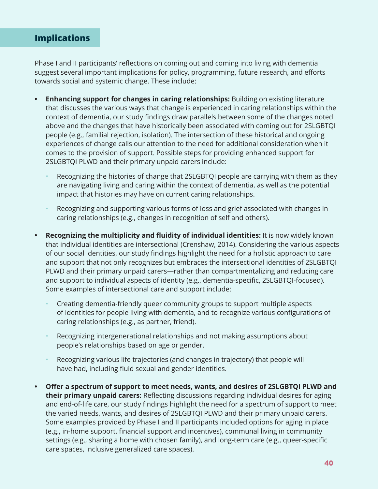### <span id="page-39-0"></span>**Implications**

Phase I and II participants' reflections on coming out and coming into living with dementia suggest several important implications for policy, programming, future research, and efforts towards social and systemic change. These include:

- **• Enhancing support for changes in caring relationships:** Building on existing literature that discusses the various ways that change is experienced in caring relationships within the context of dementia, our study findings draw parallels between some of the changes noted above and the changes that have historically been associated with coming out for 2SLGBTQI people (e.g., familial rejection, isolation). The intersection of these historical and ongoing experiences of change calls our attention to the need for additional consideration when it comes to the provision of support. Possible steps for providing enhanced support for 2SLGBTQI PLWD and their primary unpaid carers include:
	- Recognizing the histories of change that 2SLGBTQI people are carrying with them as they are navigating living and caring within the context of dementia, as well as the potential impact that histories may have on current caring relationships.
	- Recognizing and supporting various forms of loss and grief associated with changes in caring relationships (e.g., changes in recognition of self and others).
- **• Recognizing the multiplicity and fluidity of individual identities:** It is now widely known that individual identities are intersectional (Crenshaw, 2014). Considering the various aspects of our social identities, our study findings highlight the need for a holistic approach to care and support that not only recognizes but embraces the intersectional identities of 2SLGBTQI PLWD and their primary unpaid carers—rather than compartmentalizing and reducing care and support to individual aspects of identity (e.g., dementia-specific, 2SLGBTQI-focused). Some examples of intersectional care and support include:
	- Creating dementia-friendly queer community groups to support multiple aspects of identities for people living with dementia, and to recognize various configurations of caring relationships (e.g., as partner, friend).
	- Recognizing intergenerational relationships and not making assumptions about people's relationships based on age or gender.
	- Recognizing various life trajectories (and changes in trajectory) that people will have had, including fluid sexual and gender identities.
- **• Offer a spectrum of support to meet needs, wants, and desires of 2SLGBTQI PLWD and their primary unpaid carers:** Reflecting discussions regarding individual desires for aging and end-of-life care, our study findings highlight the need for a spectrum of support to meet the varied needs, wants, and desires of 2SLGBTQI PLWD and their primary unpaid carers. Some examples provided by Phase I and II participants included options for aging in place (e.g., in-home support, financial support and incentives), communal living in community settings (e.g., sharing a home with chosen family), and long-term care (e.g., queer-specific care spaces, inclusive generalized care spaces).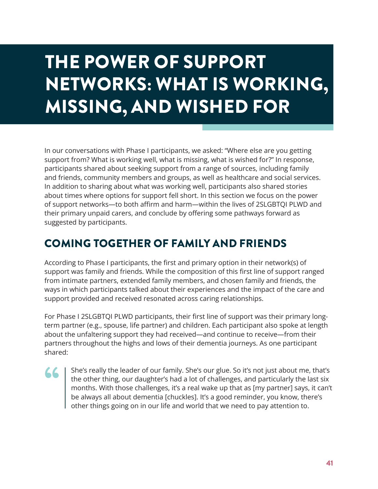# <span id="page-40-0"></span>THE POWER OF SUPPORT NETWORKS: WHAT IS WORKING, MISSING, AND WISHED FOR

In our conversations with Phase I participants, we asked: "Where else are you getting support from? What is working well, what is missing, what is wished for?" In response, participants shared about seeking support from a range of sources, including family and friends, community members and groups, as well as healthcare and social services. In addition to sharing about what was working well, participants also shared stories about times where options for support fell short. In this section we focus on the power of support networks—to both affirm and harm—within the lives of 2SLGBTQI PLWD and their primary unpaid carers, and conclude by offering some pathways forward as suggested by participants.

# COMING TOGETHER OF FAMILY AND FRIENDS

According to Phase I participants, the first and primary option in their network(s) of support was family and friends. While the composition of this first line of support ranged from intimate partners, extended family members, and chosen family and friends, the ways in which participants talked about their experiences and the impact of the care and support provided and received resonated across caring relationships.

For Phase I 2SLGBTQI PLWD participants, their first line of support was their primary longterm partner (e.g., spouse, life partner) and children. Each participant also spoke at length about the unfaltering support they had received—and continue to receive—from their partners throughout the highs and lows of their dementia journeys. As one participant shared:

"

She's really the leader of our family. She's our glue. So it's not just about me, that's the other thing, our daughter's had a lot of challenges, and particularly the last six months. With those challenges, it's a real wake up that as [my partner] says, it can't be always all about dementia [chuckles]. It's a good reminder, you know, there's other things going on in our life and world that we need to pay attention to.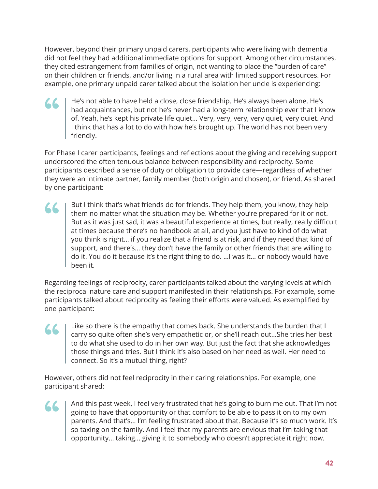However, beyond their primary unpaid carers, participants who were living with dementia did not feel they had additional immediate options for support. Among other circumstances, they cited estrangement from families of origin, not wanting to place the "burden of care" on their children or friends, and/or living in a rural area with limited support resources. For example, one primary unpaid carer talked about the isolation her uncle is experiencing:

He's not able to have held a close, close friendship. He's always been alone. He's had acquaintances, but not he's never had a long-term relationship ever that I know of. Yeah, he's kept his private life quiet... Very, very, very, very quiet, very quiet. And I the's not able to have held a close, close friendship. He's always been alone. He's had acquaintances, but not he's never had a long-term relationship ever that I knc of. Yeah, he's kept his private life quiet... Very, v friendly.

For Phase I carer participants, feelings and reflections about the giving and receiving support underscored the often tenuous balance between responsibility and reciprocity. Some participants described a sense of duty or obligation to provide care—regardless of whether they were an intimate partner, family member (both origin and chosen), or friend. As shared by one participant:

But I think that's what friends do for friends. They help them, you know, they help them no matter what the situation may be. Whether you're prepared for it or not. But as it was just sad, it was a beautiful experience at times, but really, really difficult at times because there's no handbook at all, and you just have to kind of do what Sut I think that's what friends do for friends. They help them, you know, they help<br>them no matter what the situation may be. Whether you're prepared for it or not.<br>But as it was just sad, it was a beautiful experience at support, and there's... they don't have the family or other friends that are willing to do it. You do it because it's the right thing to do. ...I was it... or nobody would have been it.

Regarding feelings of reciprocity, carer participants talked about the varying levels at which the reciprocal nature care and support manifested in their relationships. For example, some participants talked about reciprocity as feeling their efforts were valued. As exemplified by one participant:

Like so there is the empathy that comes back. She understands the burden that I carry so quite often she's very empathetic or, or she'll reach out...She tries her best to do what she used to do in her own way. But just the fact that she acknowledges tike so there is the empathy that comes back. She understands the burden that I carry so quite often she's very empathetic or, or she'll reach out...She tries her bet to do what she used to do in her own way. But just the connect. So it's a mutual thing, right?

However, others did not feel reciprocity in their caring relationships. For example, one participant shared:

**" (1)** 

And this past week, I feel very frustrated that he's going to burn me out. That I'm not going to have that opportunity or that comfort to be able to pass it on to my own parents. And that's... I'm feeling frustrated about that. Because it's so much work. It's so taxing on the family. And I feel that my parents are envious that I'm taking that opportunity... taking... giving it to somebody who doesn't appreciate it right now.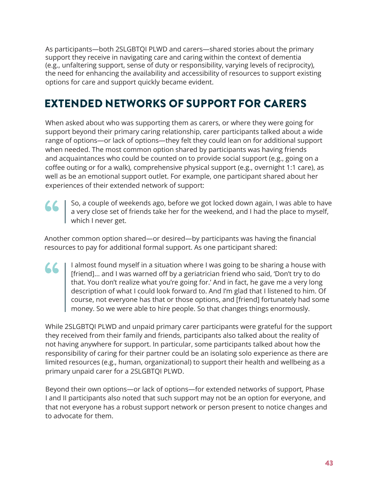As participants—both 2SLGBTQI PLWD and carers—shared stories about the primary support they receive in navigating care and caring within the context of dementia (e.g., unfaltering support, sense of duty or responsibility, varying levels of reciprocity), the need for enhancing the availability and accessibility of resources to support existing options for care and support quickly became evident.

# EXTENDED NETWORKS OF SUPPORT FOR CARERS

When asked about who was supporting them as carers, or where they were going for support beyond their primary caring relationship, carer participants talked about a wide range of options—or lack of options—they felt they could lean on for additional support when needed. The most common option shared by participants was having friends and acquaintances who could be counted on to provide social support (e.g., going on a coffee outing or for a walk), comprehensive physical support (e.g., overnight 1:1 care), as well as be an emotional support outlet. For example, one participant shared about her experiences of their extended network of support:



So, a couple of weekends ago, before we got locked down again, I was able to have a very close set of friends take her for the weekend, and I had the place to myself, which I never get.

Another common option shared—or desired—by participants was having the financial resources to pay for additional formal support. As one participant shared:

I almost found myself in a situation where I was going to be sharing a house with [friend]... and I was warned off by a geriatrician friend who said, 'Don't try to do that. You don't realize what you're going for.' And in fact, he gave me a very long description of what I could look forward to. And I'm glad that I listened to him. Of course, not everyone has that or those options, and [friend] fortunately had some money. So we were able to hire people. So that changes things enormously. **" (1)** 

While 2SLGBTQI PLWD and unpaid primary carer participants were grateful for the support they received from their family and friends, participants also talked about the reality of not having anywhere for support. In particular, some participants talked about how the responsibility of caring for their partner could be an isolating solo experience as there are limited resources (e.g., human, organizational) to support their health and wellbeing as a primary unpaid carer for a 2SLGBTQI PLWD.

Beyond their own options—or lack of options—for extended networks of support, Phase I and II participants also noted that such support may not be an option for everyone, and that not everyone has a robust support network or person present to notice changes and to advocate for them.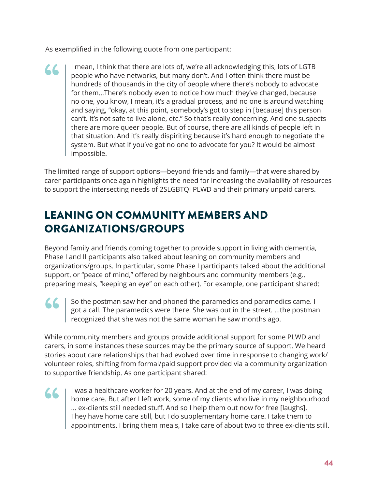As exemplified in the following quote from one participant:

I mean, I think that there are lots of, we're all acknowledging this, lots of LGTB people who have networks, but many don't. And I often think there must be hundreds of thousands in the city of people where there's nobody to advocate for them...There's nobody even to notice how much they've changed, because no one, you know, I mean, it's a gradual process, and no one is around watching and saying, "okay, at this point, somebody's got to step in [because] this person can't. It's not safe to live alone, etc." So that's really concerning. And one suspects there are more queer people. But of course, there are all kinds of people left in that situation. And it's really dispiriting because it's hard enough to negotiate the system. But what if you've got no one to advocate for you? It would be almost impossible. "

The limited range of support options—beyond friends and family—that were shared by carer participants once again highlights the need for increasing the availability of resources to support the intersecting needs of 2SLGBTQI PLWD and their primary unpaid carers.

# LEANING ON COMMUNITY MEMBERS AND ORGANIZATIONS/GROUPS

Beyond family and friends coming together to provide support in living with dementia, Phase I and II participants also talked about leaning on community members and organizations/groups. In particular, some Phase I participants talked about the additional support, or "peace of mind," offered by neighbours and community members (e.g., preparing meals, "keeping an eye" on each other). For example, one participant shared:

So the postman saw her and phoned the paramedics and paramedics came. I got a call. The paramedics were there. She was out in the street. ...the postman recognized that she was not the same woman he saw months ago. **" (1)** 

While community members and groups provide additional support for some PLWD and carers, in some instances these sources may be the primary source of support. We heard stories about care relationships that had evolved over time in response to changing work/ volunteer roles, shifting from formal/paid support provided via a community organization to supportive friendship. As one participant shared:

66

I was a healthcare worker for 20 years. And at the end of my career, I was doing home care. But after I left work, some of my clients who live in my neighbourhood ... ex-clients still needed stuff. And so I help them out now for free [laughs]. They have home care still, but I do supplementary home care. I take them to appointments. I bring them meals, I take care of about two to three ex-clients still.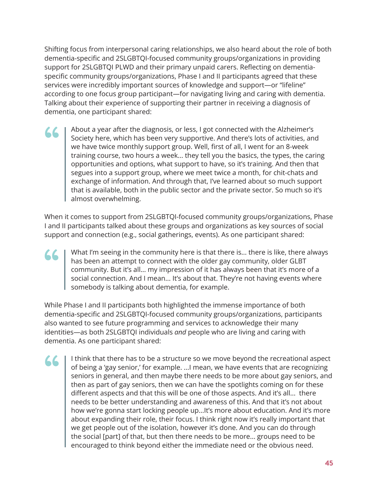Shifting focus from interpersonal caring relationships, we also heard about the role of both dementia-specific and 2SLGBTQI-focused community groups/organizations in providing support for 2SLGBTQI PLWD and their primary unpaid carers. Reflecting on dementiaspecific community groups/organizations, Phase I and II participants agreed that these services were incredibly important sources of knowledge and support—or "lifeline" according to one focus group participant—for navigating living and caring with dementia. Talking about their experience of supporting their partner in receiving a diagnosis of dementia, one participant shared:

About a year after the diagnosis, or less, I got connected with the Alzheimer's Society here, which has been very supportive. And there's lots of activities, and we have twice monthly support group. Well, first of all, I went for an 8-week training course, two hours a week... they tell you the basics, the types, the caring opportunities and options, what support to have, so it's training. And then that segues into a support group, where we meet twice a month, for chit-chats and exchange of information. And through that, I've learned about so much support that is available, both in the public sector and the private sector. So much so it's almost overwhelming. "

When it comes to support from 2SLGBTQI-focused community groups/organizations, Phase I and II participants talked about these groups and organizations as key sources of social support and connection (e.g., social gatherings, events). As one participant shared:

What I'm seeing in the community here is that there is... there is like, there always has been an attempt to connect with the older gay community, older GLBT community. But it's all... my impression of it has always been that it's more of a Social connection. And I mean... It's about that. They're not having events where the local connection. And I mean... It's about that. They're not having events where the local connection. And I mean... It's about that. Th somebody is talking about dementia, for example.

While Phase I and II participants both highlighted the immense importance of both dementia-specific and 2SLGBTQI-focused community groups/organizations, participants also wanted to see future programming and services to acknowledge their many identities—as both 2SLGBTQI individuals *and* people who are living and caring with dementia. As one participant shared:

I think that there has to be a structure so we move beyond the recreational aspect of being a 'gay senior,' for example. ...I mean, we have events that are recognizing seniors in general, and then maybe there needs to be more about gay seniors, and then as part of gay seniors, then we can have the spotlights coming on for these different aspects and that this will be one of those aspects. And it's all... there needs to be better understanding and awareness of this. And that it's not about how we're gonna start locking people up...It's more about education. And it's more about expanding their role, their focus. I think right now it's really important that we get people out of the isolation, however it's done. And you can do through the social [part] of that, but then there needs to be more... groups need to be encouraged to think beyond either the immediate need or the obvious need. "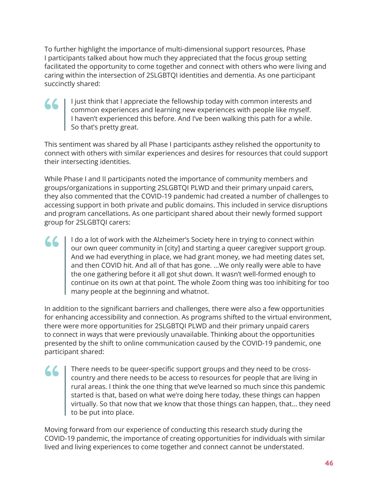To further highlight the importance of multi-dimensional support resources, Phase I participants talked about how much they appreciated that the focus group setting facilitated the opportunity to come together and connect with others who were living and caring within the intersection of 2SLGBTQI identities and dementia. As one participant succinctly shared:

I just think that I appreciate the fellowship today with common interests and common experiences and learning new experiences with people like myself. I haven't experienced this before. And I've been walking this path for a while. So that's pretty great.

This sentiment was shared by all Phase I participants asthey relished the opportunity to connect with others with similar experiences and desires for resources that could support their intersecting identities.

While Phase I and II participants noted the importance of community members and groups/organizations in supporting 2SLGBTQI PLWD and their primary unpaid carers, they also commented that the COVID-19 pandemic had created a number of challenges to accessing support in both private and public domains. This included in service disruptions and program cancellations. As one participant shared about their newly formed support group for 2SLGBTQI carers:

I do a lot of work with the Alzheimer's Society here in trying to connect within our own queer community in [city] and starting a queer caregiver support group. And we had everything in place, we had grant money, we had meeting dates set, and then COVID hit. And all of that has gone. ...We only really were able to have the one gathering before it all got shut down. It wasn't well-formed enough to continue on its own at that point. The whole Zoom thing was too inhibiting for too many people at the beginning and whatnot.

In addition to the significant barriers and challenges, there were also a few opportunities for enhancing accessibility and connection. As programs shifted to the virtual environment, there were more opportunities for 2SLGBTQI PLWD and their primary unpaid carers to connect in ways that were previously unavailable. Thinking about the opportunities presented by the shift to online communication caused by the COVID-19 pandemic, one participant shared:

**" (1)** 

**" (1)** 

**" (1)** 

There needs to be queer-specific support groups and they need to be crosscountry and there needs to be access to resources for people that are living in rural areas. I think the one thing that we've learned so much since this pandemic started is that, based on what we're doing here today, these things can happen virtually. So that now that we know that those things can happen, that... they need to be put into place.

Moving forward from our experience of conducting this research study during the COVID-19 pandemic, the importance of creating opportunities for individuals with similar lived and living experiences to come together and connect cannot be understated.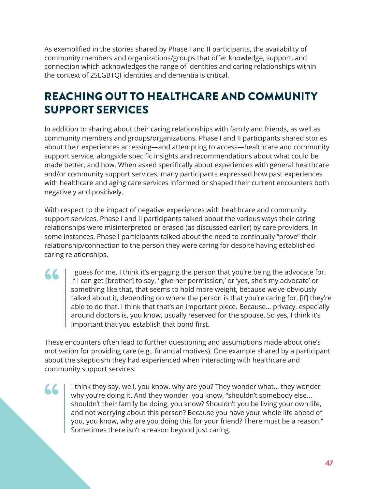As exemplified in the stories shared by Phase I and II participants, the availability of community members and organizations/groups that offer knowledge, support, and connection which acknowledges the range of identities and caring relationships within the context of 2SLGBTQI identities and dementia is critical.

# REACHING OUT TO HEALTHCARE AND COMMUNITY SUPPORT SERVICES

In addition to sharing about their caring relationships with family and friends, as well as community members and groups/organizations, Phase I and II participants shared stories about their experiences accessing—and attempting to access—healthcare and community support service, alongside specific insights and recommendations about what could be made better, and how. When asked specifically about experiences with general healthcare and/or community support services, many participants expressed how past experiences with healthcare and aging care services informed or shaped their current encounters both negatively and positively.

With respect to the impact of negative experiences with healthcare and community support services, Phase I and II participants talked about the various ways their caring relationships were misinterpreted or erased (as discussed earlier) by care providers. In some instances, Phase I participants talked about the need to continually "prove" their relationship/connection to the person they were caring for despite having established caring relationships.

I guess for me, I think it's engaging the person that you're being the advocate for. If I can get [brother] to say, ' give her permission,' or 'yes, she's my advocate' or something like that, that seems to hold more weight, because we've obviously talked about it, depending on where the person is that you're caring for, [if] they're able to do that. I think that that's an important piece. Because... privacy, especially around doctors is, you know, usually reserved for the spouse. So yes, I think it's important that you establish that bond first. 66

These encounters often lead to further questioning and assumptions made about one's motivation for providing care (e.g., financial motives). One example shared by a participant about the skepticism they had experienced when interacting with healthcare and community support services:

I think they say, well, you know, why are you? They wonder what... they wonder why you're doing it. And they wonder, you know, "shouldn't somebody else... shouldn't their family be doing, you know? Shouldn't you be living your own life, and not worrying about this person? Because you have your whole life ahead of you, you know, why are you doing this for your friend? There must be a reason." Sometimes there isn't a reason beyond just caring. **" (1)**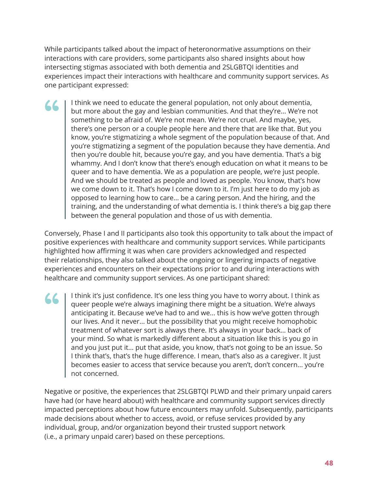While participants talked about the impact of heteronormative assumptions on their interactions with care providers, some participants also shared insights about how intersecting stigmas associated with both dementia and 2SLGBTQI identities and experiences impact their interactions with healthcare and community support services. As one participant expressed:

I think we need to educate the general population, not only about dementia, but more about the gay and lesbian communities. And that they're... We're not something to be afraid of. We're not mean. We're not cruel. And maybe, yes, there's one person or a couple people here and there that are like that. But you know, you're stigmatizing a whole segment of the population because of that. And you're stigmatizing a segment of the population because they have dementia. And then you're double hit, because you're gay, and you have dementia. That's a big whammy. And I don't know that there's enough education on what it means to be queer and to have dementia. We as a population are people, we're just people. And we should be treated as people and loved as people. You know, that's how we come down to it. That's how I come down to it. I'm just here to do my job as opposed to learning how to care... be a caring person. And the hiring, and the training, and the understanding of what dementia is. I think there's a big gap there between the general population and those of us with dementia. 66

Conversely, Phase I and II participants also took this opportunity to talk about the impact of positive experiences with healthcare and community support services. While participants highlighted how affirming it was when care providers acknowledged and respected their relationships, they also talked about the ongoing or lingering impacts of negative experiences and encounters on their expectations prior to and during interactions with healthcare and community support services. As one participant shared:

I think it's just confidence. It's one less thing you have to worry about. I think as queer people we're always imagining there might be a situation. We're always anticipating it. Because we've had to and we... this is how we've gotten through our lives. And it never... but the possibility that you might receive homophobic treatment of whatever sort is always there. It's always in your back... back of your mind. So what is markedly different about a situation like this is you go in and you just put it... put that aside, you know, that's not going to be an issue. So I think that's, that's the huge difference. I mean, that's also as a caregiver. It just becomes easier to access that service because you aren't, don't concern... you're not concerned. 66

Negative or positive, the experiences that 2SLGBTQI PLWD and their primary unpaid carers have had (or have heard about) with healthcare and community support services directly impacted perceptions about how future encounters may unfold. Subsequently, participants made decisions about whether to access, avoid, or refuse services provided by any individual, group, and/or organization beyond their trusted support network (i.e., a primary unpaid carer) based on these perceptions.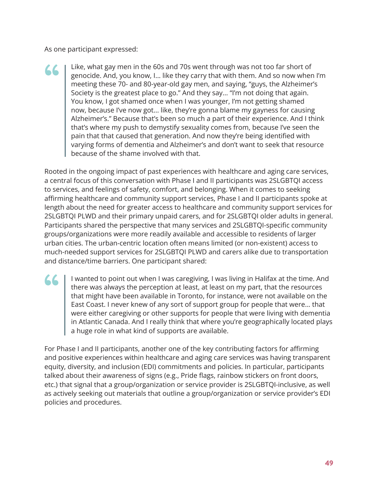As one participant expressed:

**" (1)** 

Like, what gay men in the 60s and 70s went through was not too far short of genocide. And, you know, I... like they carry that with them. And so now when I'm meeting these 70- and 80-year-old gay men, and saying, "guys, the Alzheimer's Society is the greatest place to go." And they say... "I'm not doing that again. You know, I got shamed once when I was younger, I'm not getting shamed now, because I've now got... like, they're gonna blame my gayness for causing Alzheimer's." Because that's been so much a part of their experience. And I think that's where my push to demystify sexuality comes from, because I've seen the pain that that caused that generation. And now they're being identified with varying forms of dementia and Alzheimer's and don't want to seek that resource because of the shame involved with that. "

Rooted in the ongoing impact of past experiences with healthcare and aging care services, a central focus of this conversation with Phase I and II participants was 2SLGBTQI access to services, and feelings of safety, comfort, and belonging. When it comes to seeking affirming healthcare and community support services, Phase I and II participants spoke at length about the need for greater access to healthcare and community support services for 2SLGBTQI PLWD and their primary unpaid carers, and for 2SLGBTQI older adults in general. Participants shared the perspective that many services and 2SLGBTQI-specific community groups/organizations were more readily available and accessible to residents of larger urban cities. The urban-centric location often means limited (or non-existent) access to much-needed support services for 2SLGBTQI PLWD and carers alike due to transportation and distance/time barriers. One participant shared:

I wanted to point out when I was caregiving, I was living in Halifax at the time. And there was always the perception at least, at least on my part, that the resources that might have been available in Toronto, for instance, were not available on the East Coast. I never knew of any sort of support group for people that were... that were either caregiving or other supports for people that were living with dementia in Atlantic Canada. And I really think that where you're geographically located plays a huge role in what kind of supports are available.

For Phase I and II participants, another one of the key contributing factors for affirming and positive experiences within healthcare and aging care services was having transparent equity, diversity, and inclusion (EDI) commitments and policies. In particular, participants talked about their awareness of signs (e.g., Pride flags, rainbow stickers on front doors, etc.) that signal that a group/organization or service provider is 2SLGBTQI-inclusive, as well as actively seeking out materials that outline a group/organization or service provider's EDI policies and procedures.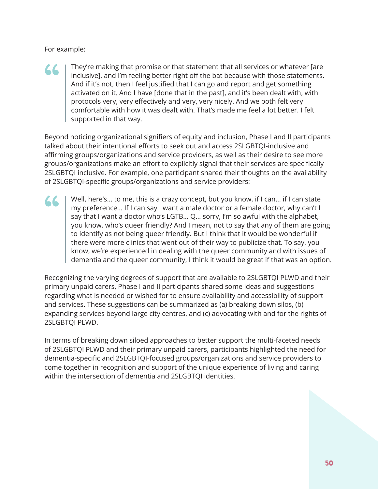For example:

# "

They're making that promise or that statement that all services or whatever [are inclusive], and I'm feeling better right off the bat because with those statements. And if it's not, then I feel justified that I can go and report and get something activated on it. And I have [done that in the past], and it's been dealt with, with protocols very, very effectively and very, very nicely. And we both felt very comfortable with how it was dealt with. That's made me feel a lot better. I felt supported in that way.

Beyond noticing organizational signifiers of equity and inclusion, Phase I and II participants talked about their intentional efforts to seek out and access 2SLGBTQI-inclusive and affirming groups/organizations and service providers, as well as their desire to see more groups/organizations make an effort to explicitly signal that their services are specifically 2SLGBTQI inclusive. For example, one participant shared their thoughts on the availability of 2SLGBTQI-specific groups/organizations and service providers:

Well, here's... to me, this is a crazy concept, but you know, if I can... if I can state my preference... If I can say I want a male doctor or a female doctor, why can't I say that I want a doctor who's LGTB... Q... sorry, I'm so awful with the alphabet, you know, who's queer friendly? And I mean, not to say that any of them are going to identify as not being queer friendly. But I think that it would be wonderful if there were more clinics that went out of their way to publicize that. To say, you know, we're experienced in dealing with the queer community and with issues of dementia and the queer community, I think it would be great if that was an option. "

Recognizing the varying degrees of support that are available to 2SLGBTQI PLWD and their primary unpaid carers, Phase I and II participants shared some ideas and suggestions regarding what is needed or wished for to ensure availability and accessibility of support and services. These suggestions can be summarized as (a) breaking down silos, (b) expanding services beyond large city centres, and (c) advocating with and for the rights of 2SLGBTQI PLWD.

In terms of breaking down siloed approaches to better support the multi-faceted needs of 2SLGBTQI PLWD and their primary unpaid carers, participants highlighted the need for dementia-specific and 2SLGBTQI-focused groups/organizations and service providers to come together in recognition and support of the unique experience of living and caring within the intersection of dementia and 2SLGBTQI identities.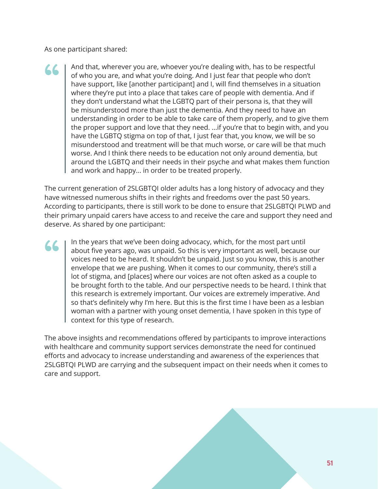As one participant shared:

And that, wherever you are, whoever you're dealing with, has to be respectful of who you are, and what you're doing. And I just fear that people who don't have support, like [another participant] and I, will find themselves in a situation where they're put into a place that takes care of people with dementia. And if they don't understand what the LGBTQ part of their persona is, that they will be misunderstood more than just the dementia. And they need to have an understanding in order to be able to take care of them properly, and to give them the proper support and love that they need. ...if you're that to begin with, and you have the LGBTQ stigma on top of that, I just fear that, you know, we will be so misunderstood and treatment will be that much worse, or care will be that much worse. And I think there needs to be education not only around dementia, but around the LGBTQ and their needs in their psyche and what makes them function and work and happy... in order to be treated properly. "

The current generation of 2SLGBTQI older adults has a long history of advocacy and they have witnessed numerous shifts in their rights and freedoms over the past 50 years. According to participants, there is still work to be done to ensure that 2SLGBTQI PLWD and their primary unpaid carers have access to and receive the care and support they need and deserve. As shared by one participant:

In the years that we've been doing advocacy, which, for the most part until about five years ago, was unpaid. So this is very important as well, because our voices need to be heard. It shouldn't be unpaid. Just so you know, this is another envelope that we are pushing. When it comes to our community, there's still a lot of stigma, and [places] where our voices are not often asked as a couple to be brought forth to the table. And our perspective needs to be heard. I think that this research is extremely important. Our voices are extremely imperative. And so that's definitely why I'm here. But this is the first time I have been as a lesbian woman with a partner with young onset dementia, I have spoken in this type of context for this type of research. "

The above insights and recommendations offered by participants to improve interactions with healthcare and community support services demonstrate the need for continued efforts and advocacy to increase understanding and awareness of the experiences that 2SLGBTQI PLWD are carrying and the subsequent impact on their needs when it comes to care and support.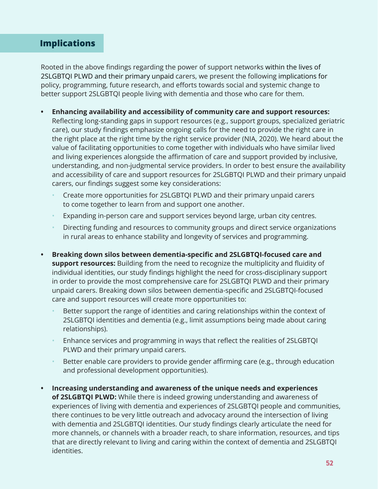### <span id="page-51-0"></span>**Implications**

Rooted in the above findings regarding the power of support networks within the lives of 2SLGBTQI PLWD and their primary unpaid carers, we present the following implications for policy, programming, future research, and efforts towards social and systemic change to better support 2SLGBTQI people living with dementia and those who care for them.

- **• Enhancing availability and accessibility of community care and support resources:**  Reflecting long-standing gaps in support resources (e.g., support groups, specialized geriatric care), our study findings emphasize ongoing calls for the need to provide the right care in the right place at the right time by the right service provider (NIA, 2020). We heard about the value of facilitating opportunities to come together with individuals who have similar lived and living experiences alongside the affirmation of care and support provided by inclusive, understanding, and non-judgmental service providers. In order to best ensure the availability and accessibility of care and support resources for 2SLGBTQI PLWD and their primary unpaid carers, our findings suggest some key considerations:
	- Create more opportunities for 2SLGBTQI PLWD and their primary unpaid carers to come together to learn from and support one another.
	- Expanding in-person care and support services beyond large, urban city centres.
	- Directing funding and resources to community groups and direct service organizations in rural areas to enhance stability and longevity of services and programming.
- **• Breaking down silos between dementia-specific and 2SLGBTQI-focused care and support resources:** Building from the need to recognize the multiplicity and fluidity of individual identities, our study findings highlight the need for cross-disciplinary support in order to provide the most comprehensive care for 2SLGBTQI PLWD and their primary unpaid carers. Breaking down silos between dementia-specific and 2SLGBTQI-focused care and support resources will create more opportunities to:
	- Better support the range of identities and caring relationships within the context of 2SLGBTQI identities and dementia (e.g., limit assumptions being made about caring relationships).
	- Enhance services and programming in ways that reflect the realities of 2SLGBTQI PLWD and their primary unpaid carers.
	- Better enable care providers to provide gender affirming care (e.g., through education and professional development opportunities).
- **• Increasing understanding and awareness of the unique needs and experiences of 2SLGBTQI PLWD:** While there is indeed growing understanding and awareness of experiences of living with dementia and experiences of 2SLGBTQI people and communities, there continues to be very little outreach and advocacy around the intersection of living with dementia and 2SLGBTQI identities. Our study findings clearly articulate the need for more channels, or channels with a broader reach, to share information, resources, and tips that are directly relevant to living and caring within the context of dementia and 2SLGBTQI identities.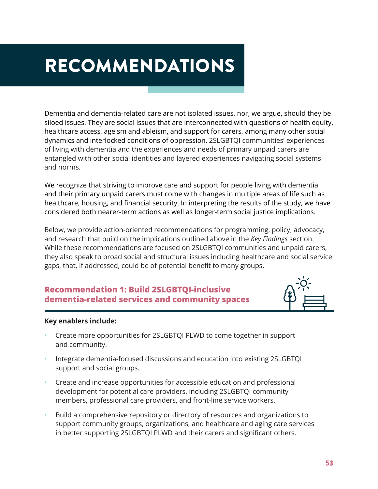# <span id="page-52-0"></span>RECOMMENDATIONS

Dementia and dementia-related care are not isolated issues, nor, we argue, should they be siloed issues. They are social issues that are interconnected with questions of health equity, healthcare access, ageism and ableism, and support for carers, among many other social dynamics and interlocked conditions of oppression. 2SLGBTQI communities' experiences of living with dementia and the experiences and needs of primary unpaid carers are entangled with other social identities and layered experiences navigating social systems and norms.

We recognize that striving to improve care and support for people living with dementia and their primary unpaid carers must come with changes in multiple areas of life such as healthcare, housing, and financial security. In interpreting the results of the study, we have considered both nearer-term actions as well as longer-term social justice implications.

Below, we provide action-oriented recommendations for programming, policy, advocacy, and research that build on the implications outlined above in the *Key Findings* section. While these recommendations are focused on 2SLGBTQI communities and unpaid carers, they also speak to broad social and structural issues including healthcare and social service gaps, that, if addressed, could be of potential benefit to many groups.

### **Recommendation 1: Build 2SLGBTQI-inclusive dementia-related services and community spaces**



#### **Key enablers include:**

- Create more opportunities for 2SLGBTQI PLWD to come together in support and community.
- Integrate dementia-focused discussions and education into existing 2SLGBTQI support and social groups.
- Create and increase opportunities for accessible education and professional development for potential care providers, including 2SLGBTQI community members, professional care providers, and front-line service workers.
- Build a comprehensive repository or directory of resources and organizations to support community groups, organizations, and healthcare and aging care services in better supporting 2SLGBTQI PLWD and their carers and significant others.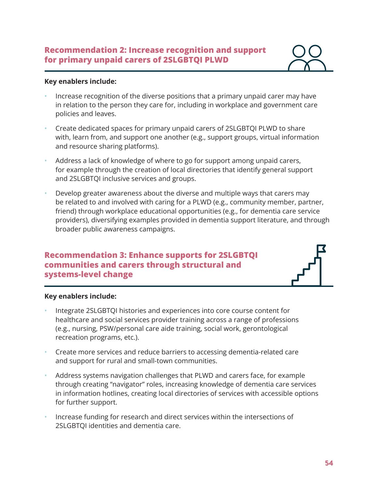#### **Recommendation 2: Increase recognition and support for primary unpaid carers of 2SLGBTQI PLWD**



#### **Key enablers include:**

- Increase recognition of the diverse positions that a primary unpaid carer may have in relation to the person they care for, including in workplace and government care policies and leaves.
- Create dedicated spaces for primary unpaid carers of 2SLGBTQI PLWD to share with, learn from, and support one another (e.g., support groups, virtual information and resource sharing platforms).
- Address a lack of knowledge of where to go for support among unpaid carers, for example through the creation of local directories that identify general support and 2SLGBTQI inclusive services and groups.
- Develop greater awareness about the diverse and multiple ways that carers may be related to and involved with caring for a PLWD (e.g., community member, partner, friend) through workplace educational opportunities (e.g., for dementia care service providers), diversifying examples provided in dementia support literature, and through broader public awareness campaigns.

### **Recommendation 3: Enhance supports for 2SLGBTQI communities and carers through structural and systems-level change**



#### **Key enablers include:**

- Integrate 2SLGBTQI histories and experiences into core course content for healthcare and social services provider training across a range of professions (e.g., nursing, PSW/personal care aide training, social work, gerontological recreation programs, etc.).
- Create more services and reduce barriers to accessing dementia-related care and support for rural and small-town communities.
- Address systems navigation challenges that PLWD and carers face, for example through creating "navigator" roles, increasing knowledge of dementia care services in information hotlines, creating local directories of services with accessible options for further support.
- Increase funding for research and direct services within the intersections of 2SLGBTQI identities and dementia care.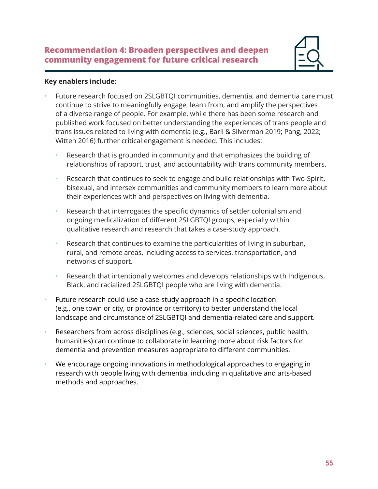

#### **Key enablers include:**

- Future research focused on 2SLGBTQI communities, dementia, and dementia care must continue to strive to meaningfully engage, learn from, and amplify the perspectives of a diverse range of people. For example, while there has been some research and published work focused on better understanding the experiences of trans people and trans issues related to living with dementia (e.g., Baril & Silverman 2019; Pang, 2022; Witten 2016) further critical engagement is needed. This includes:
	- Research that is grounded in community and that emphasizes the building of relationships of rapport, trust, and accountability with trans community members.
	- Research that continues to seek to engage and build relationships with Two-Spirit, bisexual, and intersex communities and community members to learn more about their experiences with and perspectives on living with dementia.
	- Research that interrogates the specific dynamics of settler colonialism and ongoing medicalization of different 2SLGBTQI groups, especially within qualitative research and research that takes a case-study approach.
	- Research that continues to examine the particularities of living in suburban, rural, and remote areas, including access to services, transportation, and networks of support.
	- Research that intentionally welcomes and develops relationships with Indigenous, Black, and racialized 2SLGBTQI people who are living with dementia.
- Future research could use a case-study approach in a specific location (e.g., one town or city, or province or territory) to better understand the local landscape and circumstance of 2SLGBTQI and dementia-related care and support.
- Researchers from across disciplines (e.g., sciences, social sciences, public health, humanities) can continue to collaborate in learning more about risk factors for dementia and prevention measures appropriate to different communities.
- We encourage ongoing innovations in methodological approaches to engaging in research with people living with dementia, including in qualitative and arts-based methods and approaches.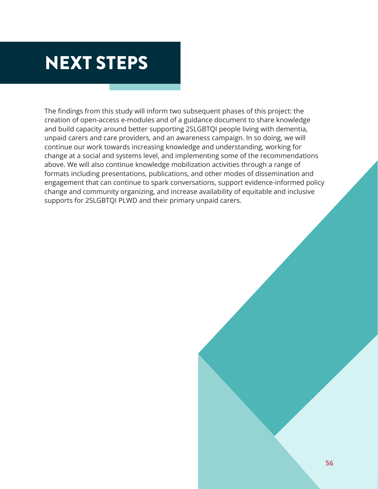# <span id="page-55-0"></span>NEXT STEPS

The findings from this study will inform two subsequent phases of this project: the creation of open-access e-modules and of a guidance document to share knowledge and build capacity around better supporting 2SLGBTQI people living with dementia, unpaid carers and care providers, and an awareness campaign. In so doing, we will continue our work towards increasing knowledge and understanding, working for change at a social and systems level, and implementing some of the recommendations above. We will also continue knowledge mobilization activities through a range of formats including presentations, publications, and other modes of dissemination and engagement that can continue to spark conversations, support evidence-informed policy change and community organizing, and increase availability of equitable and inclusive supports for 2SLGBTQI PLWD and their primary unpaid carers.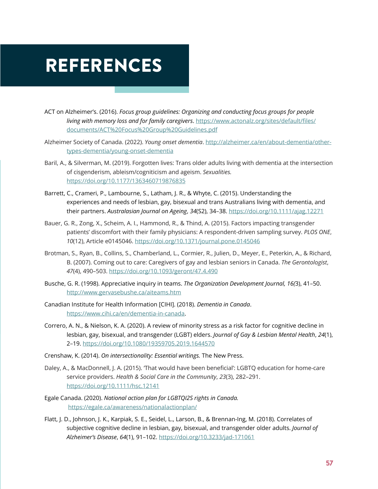# <span id="page-56-0"></span>REFERENCES

- ACT on Alzheimer's. (2016). *Focus group guidelines: Organizing and conducting focus groups for people living with memory loss and for family caregivers*. [https://www.actonalz.org/sites/default/files/](https://www.actonalz.org/sites/default/files/documents/ACT%20Focus%20Group%20Guidelines.pdf) [documents/ACT%20Focus%20Group%20Guidelines.pdf](https://www.actonalz.org/sites/default/files/documents/ACT%20Focus%20Group%20Guidelines.pdf)
- Alzheimer Society of Canada. (2022). *Young onset dementia*. [http://alzheimer.ca/en/about-dementia/other](http://alzheimer.ca/en/about-dementia/other-types-dementia/young-onset-dementia)[types-dementia/young-onset-dementia](http://alzheimer.ca/en/about-dementia/other-types-dementia/young-onset-dementia)
- Baril, A., & Silverman, M. (2019). Forgotten lives: Trans older adults living with dementia at the intersection of cisgenderism, ableism/cogniticism and ageism. *Sexualities.*  <https://doi.org/10.1177/1363460719876835>
- Barrett, C., Crameri, P., Lambourne, S., Latham, J. R., & Whyte, C. (2015). Understanding the experiences and needs of lesbian, gay, bisexual and trans Australians living with dementia, and their partners. *Australasian Journal on Ageing*, *34*(S2), 34–38. <https://doi.org/10.1111/ajag.12271>
- Bauer, G. R., Zong, X., Scheim, A. I., Hammond, R., & Thind, A. (2015). Factors impacting transgender patients' discomfort with their family physicians: A respondent-driven sampling survey. *PLOS ONE*, *10*(12), Article e0145046. <https://doi.org/10.1371/journal.pone.0145046>
- Brotman, S., Ryan, B., Collins, S., Chamberland, L., Cormier, R., Julien, D., Meyer, E., Peterkin, A., & Richard, B. (2007). Coming out to care: Caregivers of gay and lesbian seniors in Canada. *The Gerontologist*, *47*(4), 490–503. <https://doi.org/10.1093/geront/47.4.490>
- Busche, G. R. (1998). Appreciative inquiry in teams. *The Organization Development Journal, 16(*3), 41–50. <http://www.gervasebushe.ca/aiteams.htm>
- Canadian Institute for Health Information [CIHI]. (2018). *Dementia in Canada*. <https://www.cihi.ca/en/dementia-in-canada>.
- Correro, A. N., & Nielson, K. A. (2020). A review of minority stress as a risk factor for cognitive decline in lesbian, gay, bisexual, and transgender (LGBT) elders. *Journal of Gay & Lesbian Mental Health*, *24*(1), 2–19.<https://doi.org/10.1080/19359705.2019.1644570>
- Crenshaw, K. (2014). *On intersectionality: Essential writings.* The New Press.
- Daley, A., & MacDonnell, J. A. (2015). 'That would have been beneficial': LGBTQ education for home-care service providers. *Health & Social Care in the Community*, *23*(3), 282–291. <https://doi.org/10.1111/hsc.12141>
- Egale Canada. (2020). *National action plan for LGBTQI2S rights in Canada.*  <https://egale.ca/awareness/nationalactionplan/>
- Flatt, J. D., Johnson, J. K., Karpiak, S. E., Seidel, L., Larson, B., & Brennan-Ing, M. (2018). Correlates of subjective cognitive decline in lesbian, gay, bisexual, and transgender older adults. *Journal of Alzheimer's Disease*, *64*(1), 91–102.<https://doi.org/10.3233/jad-171061>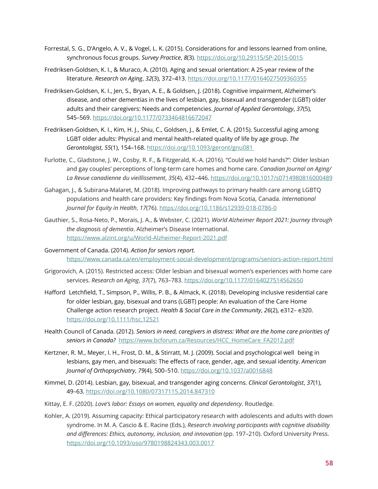- Forrestal, S. G., D'Angelo, A. V., & Vogel, L. K. (2015). Considerations for and lessons learned from online, synchronous focus groups. *Survey Practice*, *8*(3).<https://doi.org/10.29115/SP-2015-0015>
- Fredriksen-Goldsen, K. I., & Muraco, A. (2010). Aging and sexual orientation: A 25-year review of the literature. *Research on Aging*, *32*(3), 372–413.<https://doi.org/10.1177/0164027509360355>
- Fredriksen-Goldsen, K. I., Jen, S., Bryan, A. E., & Goldsen, J. (2018). Cognitive impairment, Alzheimer's disease, and other dementias in the lives of lesbian, gay, bisexual and transgender (LGBT) older adults and their caregivers: Needs and competencies. *Journal of Applied Gerontology*, *37*(5), 545–569.<https://doi.org/10.1177/0733464816672047>
- Fredriksen-Goldsen, K. I., Kim, H. J., Shiu, C., Goldsen, J., & Emlet, C. A. (2015). Successful aging among LGBT older adults: Physical and mental health-related quality of life by age group. *The Gerontologist, 55*(1), 154–168.<https://doi.org/10.1093/geront/gnu081>
- Furlotte, C., Gladstone, J. W., Cosby, R. F., & Fitzgerald, K.-A. (2016). "Could we hold hands?": Older lesbian and gay couples' perceptions of long-term care homes and home care. *Canadian Journal on Aging/ La Revue canadienne du vieillissement*, *35*(4), 432–446. <https://doi.org/10.1017/s0714980816000489>
- Gahagan, J., & Subirana-Malaret, M. (2018). Improving pathways to primary health care among LGBTQ populations and health care providers: Key findings from Nova Scotia, Canada. *International Journal for Equity in Health*, *17*(76).<https://doi.org/10.1186/s12939-018-0786-0>
- Gauthier, S., Rosa-Neto, P., Morais, J. A., & Webster, C. (2021). *World Alzheimer Report 2021: Journey through the diagnosis of dementia*. Alzheimer's Disease International. <https://www.alzint.org/u/World-Alzheimer-Report-2021.pdf>
- Government of Canada. (2014). *Action for seniors report.* <https://www.canada.ca/en/employment-social-development/programs/seniors-action-report.html>
- Grigorovich, A. (2015). Restricted access: Older lesbian and bisexual women's experiences with home care services. *Research on Aging*, *37*(7), 763–783. <https://doi.org/10.1177/0164027514562650>
- Hafford Letchfield, T., Simpson, P., Willis, P. B., & Almack, K. (2018). Developing inclusive residential care for older lesbian, gay, bisexual and trans (LGBT) people: An evaluation of the Care Home Challenge action research project. *Health & Social Care in the Community*, *26*(2), e312– e320. <https://doi.org/10.1111/hsc.12521>
- Health Council of Canada. (2012). *Seniors in need, caregivers in distress: What are the home care priorities of seniors in Canada?* [https://www.bcforum.ca/Resources/HCC\\_HomeCare\\_FA2012.pdf](https://www.bcforum.ca/Resources/HCC_HomeCare_FA2012.pdf)
- Kertzner, R. M., Meyer, I. H., Frost, D. M., & Stirratt, M. J. (2009). Social and psychological well being in lesbians, gay men, and bisexuals: The effects of race, gender, age, and sexual identity. *American Journal of Orthopsychiatry*, *79*(4), 500–510. <https://doi.org/10.1037/a0016848>
- Kimmel, D. (2014). Lesbian, gay, bisexual, and transgender aging concerns. *Clinical Gerontologist*, *37*(1), 49–63.<https://doi.org/10.1080/07317115.2014.847310>
- Kittay, E. F. (2020). *Love's labor: Essays on women, equality and dependency*. Routledge.
- Kohler, A. (2019). Assuming capacity: Ethical participatory research with adolescents and adults with down syndrome. In M. A. Cascio & E. Racine (Eds.), *Research involving participants with cognitive disability and differences: Ethics, autonomy, inclusion, and innovation* (pp. 197–210). Oxford University Press. https://doi.org/10.1093/oso/9780198824343.003.0017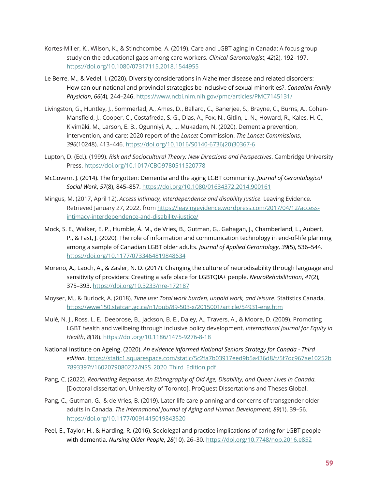- Kortes-Miller, K., Wilson, K., & Stinchcombe, A. (2019). Care and LGBT aging in Canada: A focus group study on the educational gaps among care workers. *Clinical Gerontologist*, *42*(2), 192–197. <https://doi.org/10.1080/07317115.2018.1544955>
- Le Berre, M., & Vedel, I. (2020). Diversity considerations in Alzheimer disease and related disorders: How can our national and provincial strategies be inclusive of sexual minorities?. *Canadian Family Physician*, *66*(4), 244–246. <https://www.ncbi.nlm.nih.gov/pmc/articles/PMC7145131/>
- Livingston, G., Huntley, J., Sommerlad, A., Ames, D., Ballard, C., Banerjee, S., Brayne, C., Burns, A., Cohen-Mansfield, J., Cooper, C., Costafreda, S. G., Dias, A., Fox, N., Gitlin, L. N., Howard, R., Kales, H. C., Kivimäki, M., Larson, E. B., Ogunniyi, A., … Mukadam, N. (2020). Dementia prevention, intervention, and care: 2020 report of the *Lancet* Commission. *The Lancet Commissions*, *396*(10248), 413–446. [https://doi.org/10.1016/S0140-6736\(20\)30367-6](https://doi.org/10.1016/S0140-6736(20)30367-6)
- Lupton, D. (Ed.). (1999). *Risk and Sociocultural Theory: New Directions and Perspectives*. Cambridge University Press. <https://doi.org/10.1017/CBO9780511520778>
- McGovern, J. (2014). The forgotten: Dementia and the aging LGBT community. *Journal of Gerontological Social Work*, *57*(8), 845–857. <https://doi.org/10.1080/01634372.2014.900161>
- Mingus, M. (2017, April 12). *Access intimacy, interdependence and disability Justice*. Leaving Evidence. Retrieved January 27, 2022, from [https://leavingevidence.wordpress.com/2017/04/12/access](https://leavingevidence.wordpress.com/2017/04/12/access-intimacy-interdependence-and-disability-justice/)[intimacy-interdependence-and-disability-justice/](https://leavingevidence.wordpress.com/2017/04/12/access-intimacy-interdependence-and-disability-justice/)
- Mock, S. E., Walker, E. P., Humble, Á. M., de Vries, B., Gutman, G., Gahagan, J., Chamberland, L., Aubert, P., & Fast, J. (2020). The role of information and communication technology in end-of-life planning among a sample of Canadian LGBT older adults. *Journal of Applied Gerontology*, *39*(5), 536–544. <https://doi.org/10.1177/0733464819848634>
- Moreno, A., Laoch, A., & Zasler, N. D. (2017). Changing the culture of neurodisability through language and sensitivity of providers: Creating a safe place for LGBTQIA+ people. *NeuroRehabilitation*, *41*(2), 375–393.<https://doi.org/10.3233/nre-172187>
- Moyser, M., & Burlock, A. (2018). *Time use: Total work burden, unpaid work, and leisure*. Statistics Canada. <https://www150.statcan.gc.ca/n1/pub/89-503-x/2015001/article/54931-eng.htm>
- Mulé, N. J., Ross, L. E., Deeprose, B., Jackson, B. E., Daley, A., Travers, A., & Moore, D. (2009). Promoting LGBT health and wellbeing through inclusive policy development. *International Journal for Equity in Health*, *8*(18).<https://doi.org/10.1186/1475-9276-8-18>
- National Institute on Ageing. (2020). *An evidence informed National Seniors Strategy for Canada Third edition*. [https://static1.squarespace.com/static/5c2fa7b03917eed9b5a436d8/t/5f7dc967ae10252b](https://static1.squarespace.com/static/5c2fa7b03917eed9b5a436d8/t/5f7dc967ae10252b7893397f/1602079080222/NSS_2020_Third_Edition.pdf) [7893397f/1602079080222/NSS\\_2020\\_Third\\_Edition.pdf](https://static1.squarespace.com/static/5c2fa7b03917eed9b5a436d8/t/5f7dc967ae10252b7893397f/1602079080222/NSS_2020_Third_Edition.pdf)
- Pang, C. (2022). *Reorienting Response: An Ethnography of Old Age, Disability, and Queer Lives in Canada.* [Doctoral dissertation, University of Toronto]. ProQuest Dissertations and Theses Global.
- Pang, C., Gutman, G., & de Vries, B. (2019). Later life care planning and concerns of transgender older adults in Canada. *The International Journal of Aging and Human Development*, *89*(1), 39–56. <https://doi.org/10.1177/0091415019843520>
- Peel, E., Taylor, H., & Harding, R. (2016). Sociolegal and practice implications of caring for LGBT people with dementia. *Nursing Older People*, *28*(10), 26–30. <https://doi.org/10.7748/nop.2016.e852>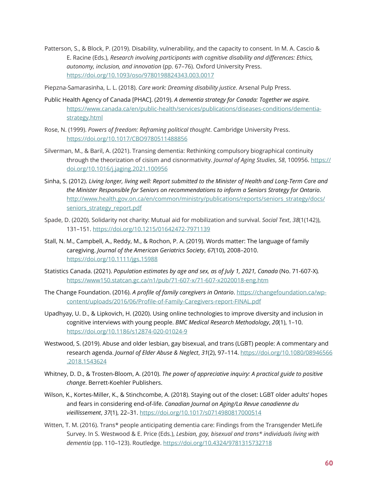Patterson, S., & Block, P. (2019). Disability, vulnerability, and the capacity to consent. In M. A. Cascio & E. Racine (Eds.), *Research involving participants with cognitive disability and differences: Ethics, autonomy, inclusion, and innovation* (pp. 67–76). Oxford University Press. <https://doi.org/10.1093/oso/9780198824343.003.0017>

Piepzna-Samarasinha, L. L. (2018). *Care work: Dreaming disability justice*. Arsenal Pulp Press.

- Public Health Agency of Canada [PHAC]. (2019). *A dementia strategy for Canada: Together we aspire.*  [https://www.canada.ca/en/public-health/services/publications/diseases-conditions/dementia](https://www.canada.ca/en/public-health/services/publications/diseases-conditions/dementia-strategy.html)[strategy.html](https://www.canada.ca/en/public-health/services/publications/diseases-conditions/dementia-strategy.html)
- Rose, N. (1999). *Powers of freedom: Reframing political thought*. Cambridge University Press. <https://doi.org/10.1017/CBO9780511488856>
- Silverman, M., & Baril, A. (2021). Transing dementia: Rethinking compulsory biographical continuity through the theorization of cisism and cisnormativity. *Journal of Aging Studies*, *58*, 100956. [https://](https://doi.org/10.1016/j.jaging.2021.100956) [doi.org/10.1016/j.jaging.2021.100956](https://doi.org/10.1016/j.jaging.2021.100956)
- Sinha, S. (2012). *Living longer, living well: Report submitted to the Minister of Health and Long-Term Care and the Minister Responsible for Seniors on recommendations to inform a Seniors Strategy for Ontario*. [http://www.health.gov.on.ca/en/common/ministry/publications/reports/seniors\\_strategy/docs/](http://www.health.gov.on.ca/en/common/ministry/publications/reports/seniors_strategy/docs/seniors_strategy_report.pdf) seniors\_strategy\_report.pdf
- Spade, D. (2020). Solidarity not charity: Mutual aid for mobilization and survival. *Social Text*, *38*(1(142)), 131–151.<https://doi.org/10.1215/01642472-7971139>
- Stall, N. M., Campbell, A., Reddy, M., & Rochon, P. A. (2019). Words matter: The language of family caregiving. *Journal of the American Geriatrics Society*, *67*(10), 2008–2010. <https://doi.org/10.1111/jgs.15988>
- Statistics Canada. (2021). *Population estimates by age and sex, as of July 1, 2021, Canada* (No. 71-607-X)*.* <https://www150.statcan.gc.ca/n1/pub/71-607-x/71-607-x2020018-eng.htm>
- The Change Foundation. (2016). *A profile of family caregivers in Ontario*. [https://changefoundation.ca/wp](https://changefoundation.ca/wp-content/uploads/2016/06/Profile-of-Family-Caregivers-report-FINAL.pdf)[content/uploads/2016/06/Profile-of-Family-Caregivers-report-FINAL.pdf](https://changefoundation.ca/wp-content/uploads/2016/06/Profile-of-Family-Caregivers-report-FINAL.pdf)
- Upadhyay, U. D., & Lipkovich, H. (2020). Using online technologies to improve diversity and inclusion in cognitive interviews with young people. *BMC Medical Research Methodology*, *20*(1), 1–10. <https://doi.org/10.1186/s12874-020-01024-9>
- Westwood, S. (2019). Abuse and older lesbian, gay bisexual, and trans (LGBT) people: A commentary and research agenda. *Journal of Elder Abuse & Neglect*, *31*(2), 97–114. [https://doi.org/10.1080/08946566](https://doi.org/10.1080/08946566.2018.1543624) [.2018.1543624](https://doi.org/10.1080/08946566.2018.1543624)
- Whitney, D. D., & Trosten-Bloom, A. (2010). *The power of appreciative inquiry: A practical guide to positive change*. Berrett-Koehler Publishers.
- Wilson, K., Kortes-Miller, K., & Stinchcombe, A. (2018). Staying out of the closet: LGBT older adults' hopes and fears in considering end-of-life. *Canadian Journal on Aging/La Revue canadienne du vieillissement*, *37*(1), 22–31.<https://doi.org/10.1017/s0714980817000514>
- Witten, T. M. (2016). Trans\* people anticipating dementia care: Findings from the Transgender MetLife Survey. In S. Westwood & E. Price (Eds.), *Lesbian, gay, bisexual and trans\* individuals living with dementia* (pp. 110–123). Routledge.<https://doi.org/10.4324/9781315732718>